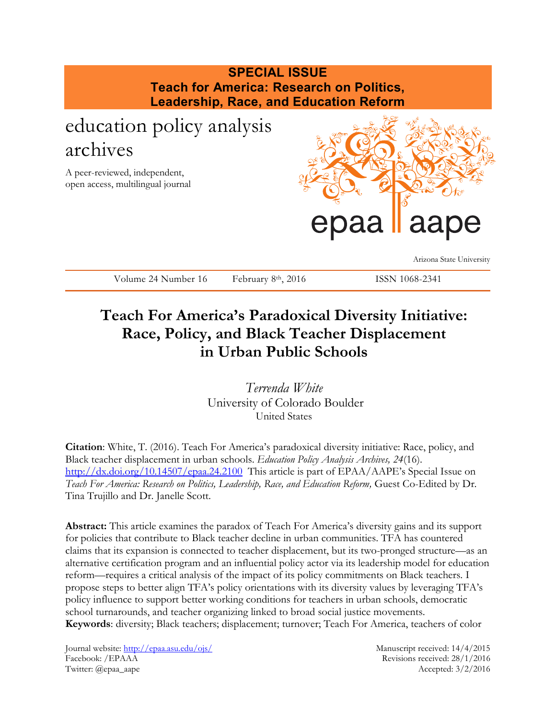# **SPECIAL ISSUE Teach for America: Research on Politics, Leadership, Race, and Education Reform** education policy analysis archives A peer-reviewed, independent, open access, multilingual journal paa Arizona State University Volume 24 Number 16 February 8th, 2016 ISSN 1068-2341

## **Teach For America's Paradoxical Diversity Initiative: Race, Policy, and Black Teacher Displacement in Urban Public Schools**

*Terrenda White* University of Colorado Boulder United States

**Citation**: White, T. (2016). Teach For America's paradoxical diversity initiative: Race, policy, and Black teacher displacement in urban schools. *Education Policy Analysis Archives, 24*(16). <http://dx.doi.org/10.14507/epaa.24.2100> This article is part of EPAA/AAPE's Special Issue on *Teach For America: Research on Politics, Leadership, Race, and Education Reform,* Guest Co-Edited by Dr. Tina Trujillo and Dr. Janelle Scott.

**Abstract:** This article examines the paradox of Teach For America's diversity gains and its support for policies that contribute to Black teacher decline in urban communities. TFA has countered claims that its expansion is connected to teacher displacement, but its two-pronged structure—as an alternative certification program and an influential policy actor via its leadership model for education reform—requires a critical analysis of the impact of its policy commitments on Black teachers. I propose steps to better align TFA's policy orientations with its diversity values by leveraging TFA's policy influence to support better working conditions for teachers in urban schools, democratic school turnarounds, and teacher organizing linked to broad social justice movements. **Keywords**: diversity; Black teachers; displacement; turnover; Teach For America, teachers of color

Journal website:<http://epaa.asu.edu/ojs/> Manuscript received: 14/4/2015 Facebook: /EPAAA Revisions received: 28/1/2016 Twitter: @epaa\_aape Accepted: 3/2/2016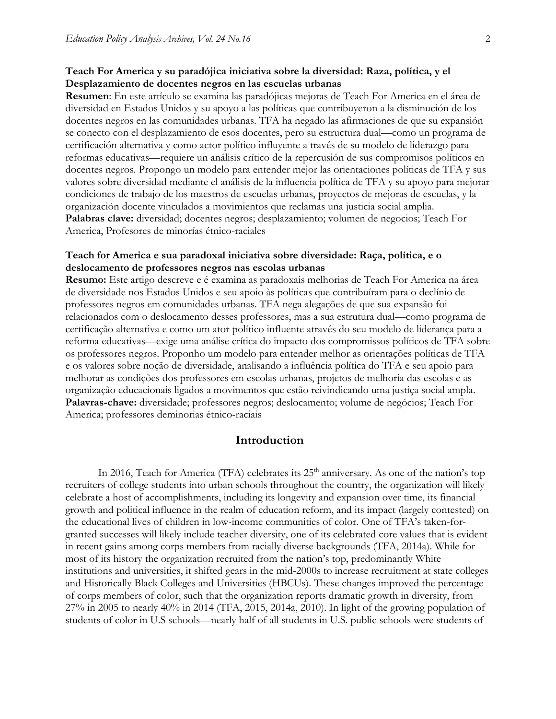#### **Teach For America y su paradójica iniciativa sobre la diversidad: Raza, política, y el Desplazamiento de docentes negros en las escuelas urbanas**

**Resumen**: En este artículo se examina las paradójicas mejoras de Teach For America en el área de diversidad en Estados Unidos y su apoyo a las políticas que contribuyeron a la disminución de los docentes negros en las comunidades urbanas. TFA ha negado las afirmaciones de que su expansión se conecto con el desplazamiento de esos docentes, pero su estructura dual—como un programa de certificación alternativa y como actor político influyente a través de su modelo de liderazgo para reformas educativas—requiere un análisis crítico de la repercusión de sus compromisos políticos en docentes negros. Propongo un modelo para entender mejor las orientaciones políticas de TFA y sus valores sobre diversidad mediante el análisis de la influencia política de TFA y su apoyo para mejorar condiciones de trabajo de los maestros de escuelas urbanas, proyectos de mejoras de escuelas, y la organización docente vinculados a movimientos que reclamas una justicia social amplia. **Palabras clave:** diversidad; docentes negros; desplazamiento; volumen de negocios; Teach For America, Profesores de minorías étnico-raciales

#### **Teach for America e sua paradoxal iniciativa sobre diversidade: Raça, política, e o deslocamento de professores negros nas escolas urbanas**

**Resumo:** Este artigo descreve e é examina as paradoxais melhorias de Teach For America na área de diversidade nos Estados Unidos e seu apoio às políticas que contribuíram para o declínio de professores negros em comunidades urbanas. TFA nega alegações de que sua expansão foi relacionados com o deslocamento desses professores, mas a sua estrutura dual—como programa de certificação alternativa e como um ator político influente através do seu modelo de liderança para a reforma educativas—exige uma análise crítica do impacto dos compromissos políticos de TFA sobre os professores negros. Proponho um modelo para entender melhor as orientações políticas de TFA e os valores sobre noção de diversidade, analisando a influência política do TFA e seu apoio para melhorar as condições dos professores em escolas urbanas, projetos de melhoria das escolas e as organização educacionais ligados a movimentos que estão reivindicando uma justiça social ampla. **Palavras-chave:** diversidade; professores negros; deslocamento; volume de negócios; Teach For America; professores deminorias étnico-raciais

### **Introduction**

In 2016, Teach for America (TFA) celebrates its  $25<sup>th</sup>$  anniversary. As one of the nation's top recruiters of college students into urban schools throughout the country, the organization will likely celebrate a host of accomplishments, including its longevity and expansion over time, its financial growth and political influence in the realm of education reform, and its impact (largely contested) on the educational lives of children in low-income communities of color. One of TFA's taken-forgranted successes will likely include teacher diversity, one of its celebrated core values that is evident in recent gains among corps members from racially diverse backgrounds (TFA, 2014a). While for most of its history the organization recruited from the nation's top, predominantly White institutions and universities, it shifted gears in the mid-2000s to increase recruitment at state colleges and Historically Black Colleges and Universities (HBCUs). These changes improved the percentage of corps members of color, such that the organization reports dramatic growth in diversity, from 27% in 2005 to nearly 40% in 2014 (TFA, 2015, 2014a, 2010). In light of the growing population of students of color in U.S schools—nearly half of all students in U.S. public schools were students of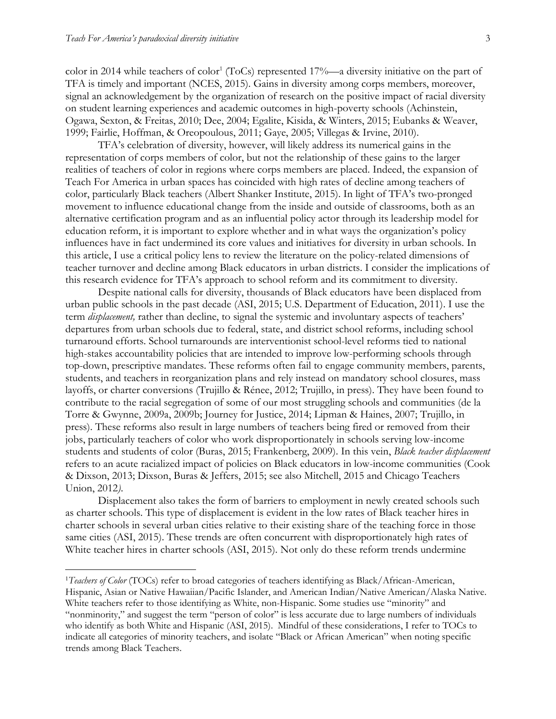$\overline{a}$ 

color in 2014 while teachers of color<sup>1</sup> (ToCs) represented  $17\%$ —a diversity initiative on the part of TFA is timely and important (NCES, 2015). Gains in diversity among corps members, moreover, signal an acknowledgement by the organization of research on the positive impact of racial diversity on student learning experiences and academic outcomes in high-poverty schools (Achinstein, Ogawa, Sexton, & Freitas, 2010; Dee, 2004; Egalite, Kisida, & Winters, 2015; Eubanks & Weaver, 1999; Fairlie, Hoffman, & Oreopoulous, 2011; Gaye, 2005; Villegas & Irvine, 2010).

TFA's celebration of diversity, however, will likely address its numerical gains in the representation of corps members of color, but not the relationship of these gains to the larger realities of teachers of color in regions where corps members are placed. Indeed, the expansion of Teach For America in urban spaces has coincided with high rates of decline among teachers of color, particularly Black teachers (Albert Shanker Institute, 2015). In light of TFA's two-pronged movement to influence educational change from the inside and outside of classrooms, both as an alternative certification program and as an influential policy actor through its leadership model for education reform, it is important to explore whether and in what ways the organization's policy influences have in fact undermined its core values and initiatives for diversity in urban schools. In this article, I use a critical policy lens to review the literature on the policy-related dimensions of teacher turnover and decline among Black educators in urban districts. I consider the implications of this research evidence for TFA's approach to school reform and its commitment to diversity.

Despite national calls for diversity, thousands of Black educators have been displaced from urban public schools in the past decade (ASI, 2015; U.S. Department of Education, 2011). I use the term *displacement,* rather than decline, to signal the systemic and involuntary aspects of teachers' departures from urban schools due to federal, state, and district school reforms, including school turnaround efforts. School turnarounds are interventionist school-level reforms tied to national high-stakes accountability policies that are intended to improve low-performing schools through top-down, prescriptive mandates. These reforms often fail to engage community members, parents, students, and teachers in reorganization plans and rely instead on mandatory school closures, mass layoffs, or charter conversions (Trujillo & Rénee, 2012; Trujillo, in press). They have been found to contribute to the racial segregation of some of our most struggling schools and communities (de la Torre & Gwynne, 2009a, 2009b; Journey for Justice, 2014; Lipman & Haines, 2007; Trujillo, in press). These reforms also result in large numbers of teachers being fired or removed from their jobs, particularly teachers of color who work disproportionately in schools serving low-income students and students of color (Buras, 2015; Frankenberg, 2009). In this vein, *Black teacher displacement* refers to an acute racialized impact of policies on Black educators in low-income communities (Cook & Dixson, 2013; Dixson, Buras & Jeffers, 2015; see also Mitchell, 2015 and Chicago Teachers Union, 2012*)*.

Displacement also takes the form of barriers to employment in newly created schools such as charter schools. This type of displacement is evident in the low rates of Black teacher hires in charter schools in several urban cities relative to their existing share of the teaching force in those same cities (ASI, 2015). These trends are often concurrent with disproportionately high rates of White teacher hires in charter schools (ASI, 2015). Not only do these reform trends undermine

<sup>&</sup>lt;sup>1</sup>Teachers of Color (TOCs) refer to broad categories of teachers identifying as Black/African-American, Hispanic, Asian or Native Hawaiian/Pacific Islander, and American Indian/Native American/Alaska Native. White teachers refer to those identifying as White, non-Hispanic. Some studies use "minority" and "nonminority," and suggest the term "person of color" is less accurate due to large numbers of individuals who identify as both White and Hispanic (ASI, 2015). Mindful of these considerations, I refer to TOCs to indicate all categories of minority teachers, and isolate "Black or African American" when noting specific trends among Black Teachers.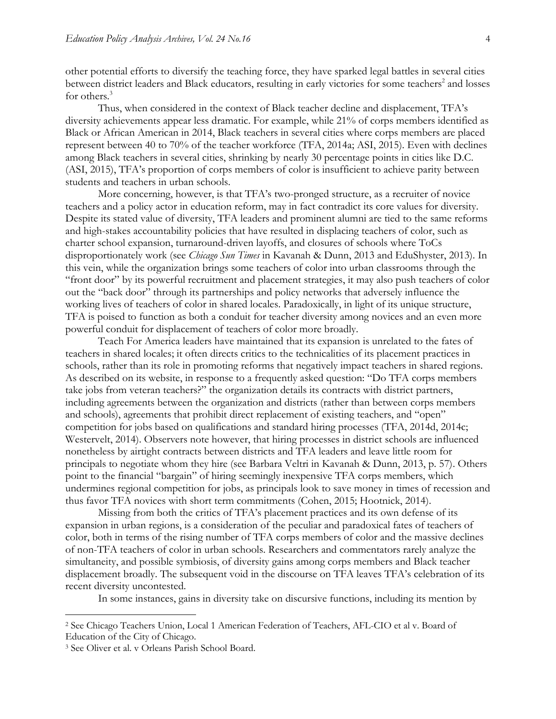other potential efforts to diversify the teaching force, they have sparked legal battles in several cities between district leaders and Black educators, resulting in early victories for some teachers<sup>2</sup> and losses for others.<sup>3</sup>

Thus, when considered in the context of Black teacher decline and displacement, TFA's diversity achievements appear less dramatic. For example, while 21% of corps members identified as Black or African American in 2014, Black teachers in several cities where corps members are placed represent between 40 to 70% of the teacher workforce (TFA, 2014a; ASI, 2015). Even with declines among Black teachers in several cities, shrinking by nearly 30 percentage points in cities like D.C. (ASI, 2015), TFA's proportion of corps members of color is insufficient to achieve parity between students and teachers in urban schools.

More concerning, however, is that TFA's two-pronged structure, as a recruiter of novice teachers and a policy actor in education reform, may in fact contradict its core values for diversity. Despite its stated value of diversity, TFA leaders and prominent alumni are tied to the same reforms and high-stakes accountability policies that have resulted in displacing teachers of color, such as charter school expansion, turnaround-driven layoffs, and closures of schools where ToCs disproportionately work (see *Chicago Sun Times* in Kavanah & Dunn, 2013 and EduShyster, 2013). In this vein, while the organization brings some teachers of color into urban classrooms through the "front door" by its powerful recruitment and placement strategies, it may also push teachers of color out the "back door" through its partnerships and policy networks that adversely influence the working lives of teachers of color in shared locales. Paradoxically, in light of its unique structure, TFA is poised to function as both a conduit for teacher diversity among novices and an even more powerful conduit for displacement of teachers of color more broadly.

Teach For America leaders have maintained that its expansion is unrelated to the fates of teachers in shared locales; it often directs critics to the technicalities of its placement practices in schools, rather than its role in promoting reforms that negatively impact teachers in shared regions. As described on its website, in response to a frequently asked question: "Do TFA corps members take jobs from veteran teachers?" the organization details its contracts with district partners, including agreements between the organization and districts (rather than between corps members and schools), agreements that prohibit direct replacement of existing teachers, and "open" competition for jobs based on qualifications and standard hiring processes (TFA, 2014d, 2014c; Westervelt, 2014). Observers note however, that hiring processes in district schools are influenced nonetheless by airtight contracts between districts and TFA leaders and leave little room for principals to negotiate whom they hire (see Barbara Veltri in Kavanah & Dunn, 2013, p. 57). Others point to the financial "bargain" of hiring seemingly inexpensive TFA corps members, which undermines regional competition for jobs, as principals look to save money in times of recession and thus favor TFA novices with short term commitments (Cohen, 2015; Hootnick, 2014).

Missing from both the critics of TFA's placement practices and its own defense of its expansion in urban regions, is a consideration of the peculiar and paradoxical fates of teachers of color, both in terms of the rising number of TFA corps members of color and the massive declines of non-TFA teachers of color in urban schools. Researchers and commentators rarely analyze the simultaneity, and possible symbiosis, of diversity gains among corps members and Black teacher displacement broadly. The subsequent void in the discourse on TFA leaves TFA's celebration of its recent diversity uncontested.

In some instances, gains in diversity take on discursive functions, including its mention by

 $\overline{a}$ 

<sup>2</sup> See Chicago Teachers Union, Local 1 American Federation of Teachers, AFL-CIO et al v. Board of Education of the City of Chicago.

<sup>3</sup> See Oliver et al. v Orleans Parish School Board.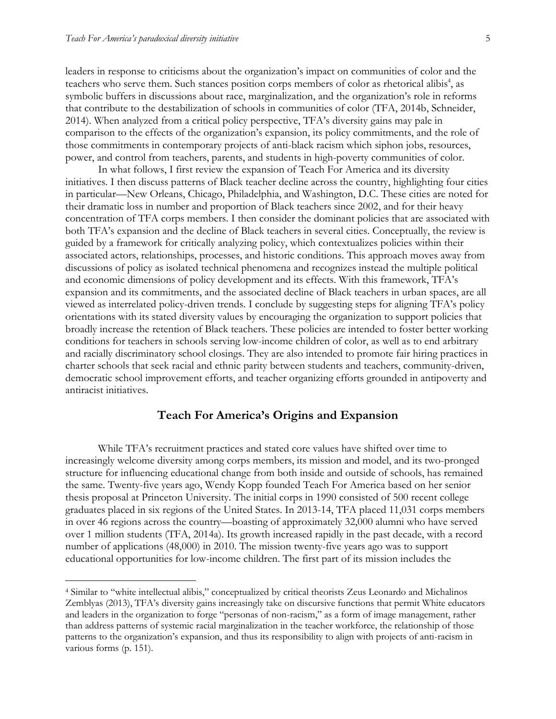$\overline{a}$ 

leaders in response to criticisms about the organization's impact on communities of color and the teachers who serve them. Such stances position corps members of color as rhetorical alibis<sup>4</sup>, as symbolic buffers in discussions about race, marginalization, and the organization's role in reforms that contribute to the destabilization of schools in communities of color (TFA, 2014b, Schneider, 2014). When analyzed from a critical policy perspective, TFA's diversity gains may pale in comparison to the effects of the organization's expansion, its policy commitments, and the role of those commitments in contemporary projects of anti-black racism which siphon jobs, resources, power, and control from teachers, parents, and students in high-poverty communities of color.

In what follows, I first review the expansion of Teach For America and its diversity initiatives. I then discuss patterns of Black teacher decline across the country, highlighting four cities in particular—New Orleans, Chicago, Philadelphia, and Washington, D.C. These cities are noted for their dramatic loss in number and proportion of Black teachers since 2002, and for their heavy concentration of TFA corps members. I then consider the dominant policies that are associated with both TFA's expansion and the decline of Black teachers in several cities. Conceptually, the review is guided by a framework for critically analyzing policy, which contextualizes policies within their associated actors, relationships, processes, and historic conditions. This approach moves away from discussions of policy as isolated technical phenomena and recognizes instead the multiple political and economic dimensions of policy development and its effects. With this framework, TFA's expansion and its commitments, and the associated decline of Black teachers in urban spaces, are all viewed as interrelated policy-driven trends. I conclude by suggesting steps for aligning TFA's policy orientations with its stated diversity values by encouraging the organization to support policies that broadly increase the retention of Black teachers. These policies are intended to foster better working conditions for teachers in schools serving low-income children of color, as well as to end arbitrary and racially discriminatory school closings. They are also intended to promote fair hiring practices in charter schools that seek racial and ethnic parity between students and teachers, community-driven, democratic school improvement efforts, and teacher organizing efforts grounded in antipoverty and antiracist initiatives.

## **Teach For America's Origins and Expansion**

While TFA's recruitment practices and stated core values have shifted over time to increasingly welcome diversity among corps members, its mission and model, and its two-pronged structure for influencing educational change from both inside and outside of schools, has remained the same. Twenty-five years ago, Wendy Kopp founded Teach For America based on her senior thesis proposal at Princeton University. The initial corps in 1990 consisted of 500 recent college graduates placed in six regions of the United States. In 2013-14, TFA placed 11,031 corps members in over 46 regions across the country—boasting of approximately 32,000 alumni who have served over 1 million students (TFA, 2014a). Its growth increased rapidly in the past decade, with a record number of applications (48,000) in 2010. The mission twenty-five years ago was to support educational opportunities for low-income children. The first part of its mission includes the

<sup>4</sup> Similar to "white intellectual alibis," conceptualized by critical theorists Zeus Leonardo and Michalinos Zemblyas (2013), TFA's diversity gains increasingly take on discursive functions that permit White educators and leaders in the organization to forge "personas of non-racism," as a form of image management, rather than address patterns of systemic racial marginalization in the teacher workforce, the relationship of those patterns to the organization's expansion, and thus its responsibility to align with projects of anti-racism in various forms (p. 151).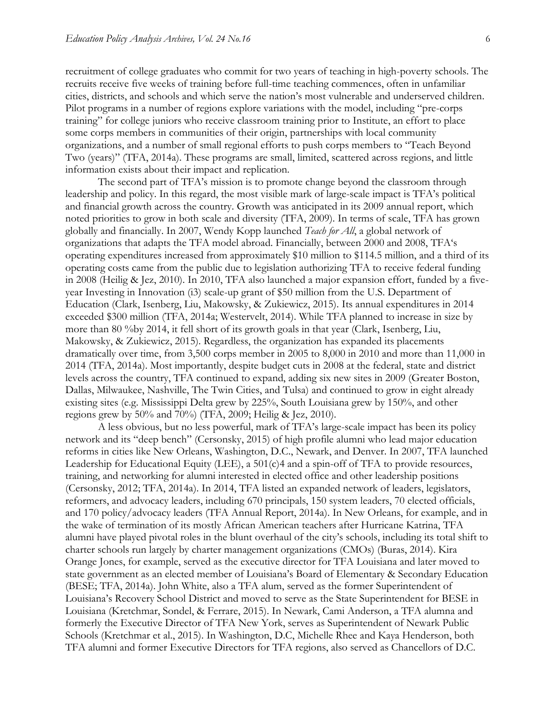recruitment of college graduates who commit for two years of teaching in high-poverty schools. The recruits receive five weeks of training before full-time teaching commences, often in unfamiliar cities, districts, and schools and which serve the nation's most vulnerable and underserved children. Pilot programs in a number of regions explore variations with the model, including "pre-corps training" for college juniors who receive classroom training prior to Institute, an effort to place some corps members in communities of their origin, partnerships with local community organizations, and a number of small regional efforts to push corps members to "Teach Beyond Two (years)" (TFA, 2014a). These programs are small, limited, scattered across regions, and little information exists about their impact and replication.

The second part of TFA's mission is to promote change beyond the classroom through leadership and policy. In this regard, the most visible mark of large-scale impact is TFA's political and financial growth across the country. Growth was anticipated in its 2009 annual report, which noted priorities to grow in both scale and diversity (TFA, 2009). In terms of scale, TFA has grown globally and financially. In 2007, Wendy Kopp launched *Teach for All*, a global network of organizations that adapts the TFA model abroad. Financially, between 2000 and 2008, TFA's operating expenditures increased from approximately \$10 million to \$114.5 million, and a third of its operating costs came from the public due to legislation authorizing TFA to receive federal funding in 2008 (Heilig & Jez, 2010). In 2010, TFA also launched a major expansion effort, funded by a fiveyear Investing in Innovation (i3) scale-up grant of \$50 million from the U.S. Department of Education (Clark, Isenberg, Liu, Makowsky, & Zukiewicz, 2015). Its annual expenditures in 2014 exceeded \$300 million (TFA, 2014a; Westervelt, 2014). While TFA planned to increase in size by more than 80 %by 2014, it fell short of its growth goals in that year (Clark, Isenberg, Liu, Makowsky, & Zukiewicz, 2015). Regardless, the organization has expanded its placements dramatically over time, from 3,500 corps member in 2005 to 8,000 in 2010 and more than 11,000 in 2014 (TFA, 2014a). Most importantly, despite budget cuts in 2008 at the federal, state and district levels across the country, TFA continued to expand, adding six new sites in 2009 (Greater Boston, Dallas, Milwaukee, Nashville, The Twin Cities, and Tulsa) and continued to grow in eight already existing sites (e.g. Mississippi Delta grew by 225%, South Louisiana grew by 150%, and other regions grew by  $50\%$  and  $70\%$  (TFA, 2009; Heilig & Jez, 2010).

A less obvious, but no less powerful, mark of TFA's large-scale impact has been its policy network and its "deep bench" (Cersonsky, 2015) of high profile alumni who lead major education reforms in cities like New Orleans, Washington, D.C., Newark, and Denver. In 2007, TFA launched Leadership for Educational Equity (LEE), a 501(c)4 and a spin-off of TFA to provide resources, training, and networking for alumni interested in elected office and other leadership positions (Cersonsky, 2012; TFA, 2014a). In 2014, TFA listed an expanded network of leaders, legislators, reformers, and advocacy leaders, including 670 principals, 150 system leaders, 70 elected officials, and 170 policy/advocacy leaders (TFA Annual Report, 2014a). In New Orleans, for example, and in the wake of termination of its mostly African American teachers after Hurricane Katrina, TFA alumni have played pivotal roles in the blunt overhaul of the city's schools, including its total shift to charter schools run largely by charter management organizations (CMOs) (Buras, 2014). Kira Orange Jones, for example, served as the executive director for TFA Louisiana and later moved to state government as an elected member of Louisiana's Board of Elementary & Secondary Education (BESE; TFA, 2014a). John White, also a TFA alum, served as the former Superintendent of Louisiana's Recovery School District and moved to serve as the State Superintendent for BESE in Louisiana (Kretchmar, Sondel, & Ferrare, 2015). In Newark, Cami Anderson, a TFA alumna and formerly the Executive Director of TFA New York, serves as Superintendent of Newark Public Schools (Kretchmar et al., 2015). In Washington, D.C, Michelle Rhee and Kaya Henderson, both TFA alumni and former Executive Directors for TFA regions, also served as Chancellors of D.C.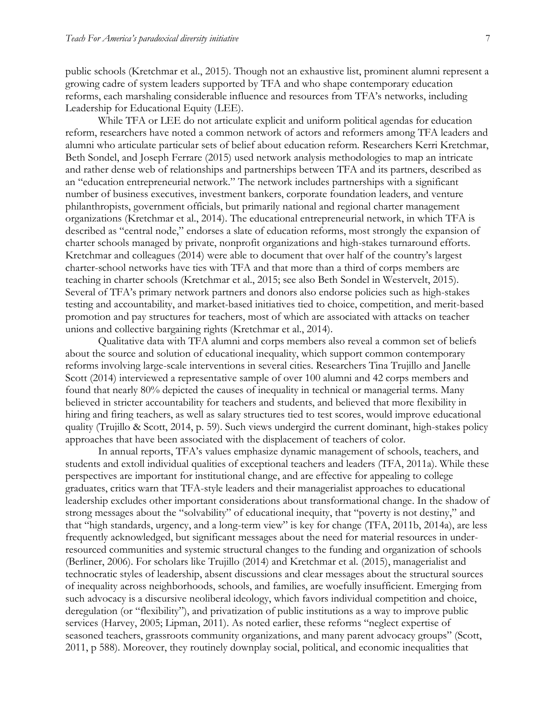public schools (Kretchmar et al., 2015). Though not an exhaustive list, prominent alumni represent a growing cadre of system leaders supported by TFA and who shape contemporary education reforms, each marshaling considerable influence and resources from TFA's networks, including Leadership for Educational Equity (LEE).

While TFA or LEE do not articulate explicit and uniform political agendas for education reform, researchers have noted a common network of actors and reformers among TFA leaders and alumni who articulate particular sets of belief about education reform. Researchers Kerri Kretchmar, Beth Sondel, and Joseph Ferrare (2015) used network analysis methodologies to map an intricate and rather dense web of relationships and partnerships between TFA and its partners, described as an "education entrepreneurial network." The network includes partnerships with a significant number of business executives, investment bankers, corporate foundation leaders, and venture philanthropists, government officials, but primarily national and regional charter management organizations (Kretchmar et al., 2014). The educational entrepreneurial network, in which TFA is described as "central node," endorses a slate of education reforms, most strongly the expansion of charter schools managed by private, nonprofit organizations and high-stakes turnaround efforts. Kretchmar and colleagues (2014) were able to document that over half of the country's largest charter-school networks have ties with TFA and that more than a third of corps members are teaching in charter schools (Kretchmar et al., 2015; see also Beth Sondel in Westervelt, 2015). Several of TFA's primary network partners and donors also endorse policies such as high-stakes testing and accountability, and market-based initiatives tied to choice, competition, and merit-based promotion and pay structures for teachers, most of which are associated with attacks on teacher unions and collective bargaining rights (Kretchmar et al., 2014).

Qualitative data with TFA alumni and corps members also reveal a common set of beliefs about the source and solution of educational inequality, which support common contemporary reforms involving large-scale interventions in several cities. Researchers Tina Trujillo and Janelle Scott (2014) interviewed a representative sample of over 100 alumni and 42 corps members and found that nearly 80% depicted the causes of inequality in technical or managerial terms. Many believed in stricter accountability for teachers and students, and believed that more flexibility in hiring and firing teachers, as well as salary structures tied to test scores, would improve educational quality (Trujillo & Scott, 2014, p. 59). Such views undergird the current dominant, high-stakes policy approaches that have been associated with the displacement of teachers of color.

In annual reports, TFA's values emphasize dynamic management of schools, teachers, and students and extoll individual qualities of exceptional teachers and leaders (TFA, 2011a). While these perspectives are important for institutional change, and are effective for appealing to college graduates, critics warn that TFA-style leaders and their managerialist approaches to educational leadership excludes other important considerations about transformational change. In the shadow of strong messages about the "solvability" of educational inequity, that "poverty is not destiny," and that "high standards, urgency, and a long-term view" is key for change (TFA, 2011b, 2014a), are less frequently acknowledged, but significant messages about the need for material resources in underresourced communities and systemic structural changes to the funding and organization of schools (Berliner, 2006). For scholars like Trujillo (2014) and Kretchmar et al. (2015), managerialist and technocratic styles of leadership, absent discussions and clear messages about the structural sources of inequality across neighborhoods, schools, and families, are woefully insufficient. Emerging from such advocacy is a discursive neoliberal ideology, which favors individual competition and choice, deregulation (or "flexibility"), and privatization of public institutions as a way to improve public services (Harvey, 2005; Lipman, 2011). As noted earlier, these reforms "neglect expertise of seasoned teachers, grassroots community organizations, and many parent advocacy groups" (Scott, 2011, p 588). Moreover, they routinely downplay social, political, and economic inequalities that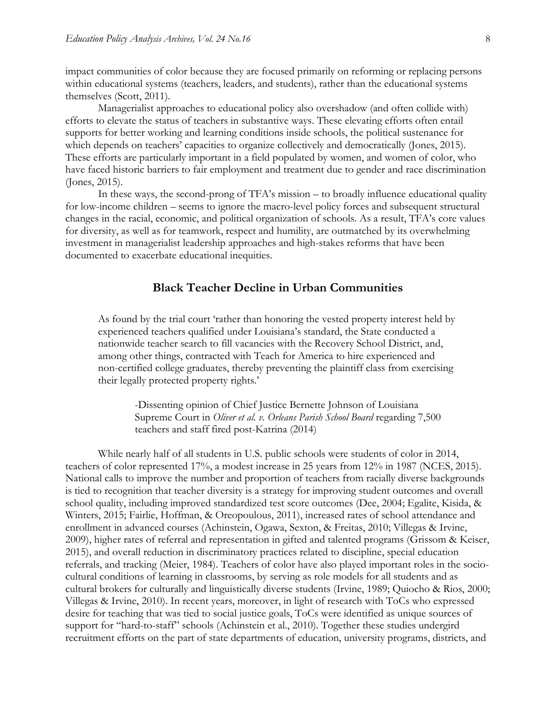impact communities of color because they are focused primarily on reforming or replacing persons within educational systems (teachers, leaders, and students), rather than the educational systems themselves (Scott, 2011).

Managerialist approaches to educational policy also overshadow (and often collide with) efforts to elevate the status of teachers in substantive ways. These elevating efforts often entail supports for better working and learning conditions inside schools, the political sustenance for which depends on teachers' capacities to organize collectively and democratically (Jones, 2015). These efforts are particularly important in a field populated by women, and women of color, who have faced historic barriers to fair employment and treatment due to gender and race discrimination (Jones, 2015).

In these ways, the second-prong of TFA's mission – to broadly influence educational quality for low-income children – seems to ignore the macro-level policy forces and subsequent structural changes in the racial, economic, and political organization of schools. As a result, TFA's core values for diversity, as well as for teamwork, respect and humility, are outmatched by its overwhelming investment in managerialist leadership approaches and high-stakes reforms that have been documented to exacerbate educational inequities.

#### **Black Teacher Decline in Urban Communities**

As found by the trial court 'rather than honoring the vested property interest held by experienced teachers qualified under Louisiana's standard, the State conducted a nationwide teacher search to fill vacancies with the Recovery School District, and, among other things, contracted with Teach for America to hire experienced and non-certified college graduates, thereby preventing the plaintiff class from exercising their legally protected property rights.'

-Dissenting opinion of Chief Justice Bernette Johnson of Louisiana Supreme Court in *Oliver et al. v. Orleans Parish School Board* regarding 7,500 teachers and staff fired post-Katrina (2014)

While nearly half of all students in U.S. public schools were students of color in 2014, teachers of color represented 17%, a modest increase in 25 years from 12% in 1987 (NCES, 2015). National calls to improve the number and proportion of teachers from racially diverse backgrounds is tied to recognition that teacher diversity is a strategy for improving student outcomes and overall school quality, including improved standardized test score outcomes (Dee, 2004; Egalite, Kisida, & Winters, 2015; Fairlie, Hoffman, & Oreopoulous, 2011), increased rates of school attendance and enrollment in advanced courses (Achinstein, Ogawa, Sexton, & Freitas, 2010; Villegas & Irvine, 2009), higher rates of referral and representation in gifted and talented programs (Grissom & Keiser, 2015), and overall reduction in discriminatory practices related to discipline, special education referrals, and tracking (Meier, 1984). Teachers of color have also played important roles in the sociocultural conditions of learning in classrooms, by serving as role models for all students and as cultural brokers for culturally and linguistically diverse students (Irvine, 1989; Quiocho & Rios, 2000; Villegas & Irvine, 2010). In recent years, moreover, in light of research with ToCs who expressed desire for teaching that was tied to social justice goals, ToCs were identified as unique sources of support for "hard-to-staff" schools (Achinstein et al., 2010). Together these studies undergird recruitment efforts on the part of state departments of education, university programs, districts, and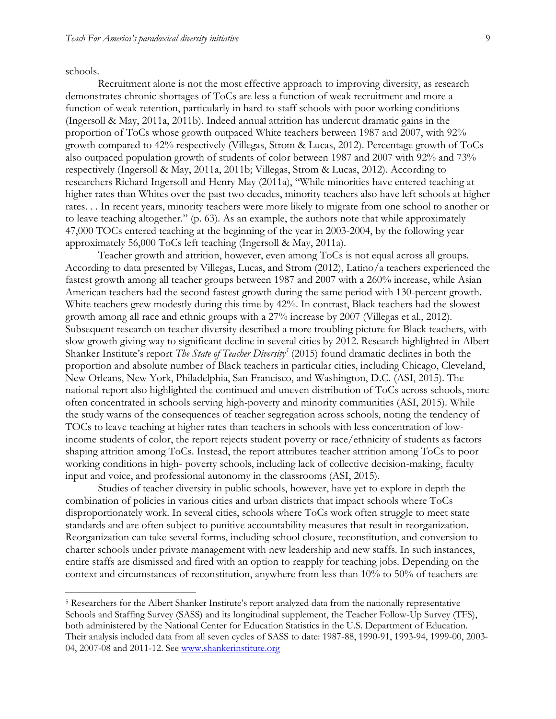schools.

 $\overline{a}$ 

Recruitment alone is not the most effective approach to improving diversity, as research demonstrates chronic shortages of ToCs are less a function of weak recruitment and more a function of weak retention, particularly in hard-to-staff schools with poor working conditions (Ingersoll & May, 2011a, 2011b). Indeed annual attrition has undercut dramatic gains in the proportion of ToCs whose growth outpaced White teachers between 1987 and 2007, with 92% growth compared to 42% respectively (Villegas, Strom & Lucas, 2012). Percentage growth of ToCs also outpaced population growth of students of color between 1987 and 2007 with 92% and 73% respectively (Ingersoll & May, 2011a, 2011b; Villegas, Strom & Lucas, 2012). According to researchers Richard Ingersoll and Henry May (2011a), "While minorities have entered teaching at higher rates than Whites over the past two decades, minority teachers also have left schools at higher rates. . . In recent years, minority teachers were more likely to migrate from one school to another or to leave teaching altogether." (p. 63). As an example, the authors note that while approximately 47,000 TOCs entered teaching at the beginning of the year in 2003-2004, by the following year approximately 56,000 ToCs left teaching (Ingersoll & May, 2011a).

Teacher growth and attrition, however, even among ToCs is not equal across all groups. According to data presented by Villegas, Lucas, and Strom (2012), Latino/a teachers experienced the fastest growth among all teacher groups between 1987 and 2007 with a 260% increase, while Asian American teachers had the second fastest growth during the same period with 130-percent growth. White teachers grew modestly during this time by 42%. In contrast, Black teachers had the slowest growth among all race and ethnic groups with a 27% increase by 2007 (Villegas et al., 2012). Subsequent research on teacher diversity described a more troubling picture for Black teachers, with slow growth giving way to significant decline in several cities by 2012. Research highlighted in Albert Shanker Institute's report *The State of Teacher Diversity<sup>5</sup>* (2015) found dramatic declines in both the proportion and absolute number of Black teachers in particular cities, including Chicago, Cleveland, New Orleans, New York, Philadelphia, San Francisco, and Washington, D.C. (ASI, 2015). The national report also highlighted the continued and uneven distribution of ToCs across schools, more often concentrated in schools serving high-poverty and minority communities (ASI, 2015). While the study warns of the consequences of teacher segregation across schools, noting the tendency of TOCs to leave teaching at higher rates than teachers in schools with less concentration of lowincome students of color, the report rejects student poverty or race/ethnicity of students as factors shaping attrition among ToCs. Instead, the report attributes teacher attrition among ToCs to poor working conditions in high- poverty schools, including lack of collective decision-making, faculty input and voice, and professional autonomy in the classrooms (ASI, 2015).

Studies of teacher diversity in public schools, however, have yet to explore in depth the combination of policies in various cities and urban districts that impact schools where ToCs disproportionately work. In several cities, schools where ToCs work often struggle to meet state standards and are often subject to punitive accountability measures that result in reorganization. Reorganization can take several forms, including school closure, reconstitution, and conversion to charter schools under private management with new leadership and new staffs. In such instances, entire staffs are dismissed and fired with an option to reapply for teaching jobs. Depending on the context and circumstances of reconstitution, anywhere from less than 10% to 50% of teachers are

<sup>5</sup> Researchers for the Albert Shanker Institute's report analyzed data from the nationally representative Schools and Staffing Survey (SASS) and its longitudinal supplement, the Teacher Follow-Up Survey (TFS), both administered by the National Center for Education Statistics in the U.S. Department of Education. Their analysis included data from all seven cycles of SASS to date: 1987-88, 1990-91, 1993-94, 1999-00, 2003- 04, 2007-08 and 2011-12. See [www.shankerinstitute.org](http://www.shankerinstitute.org/)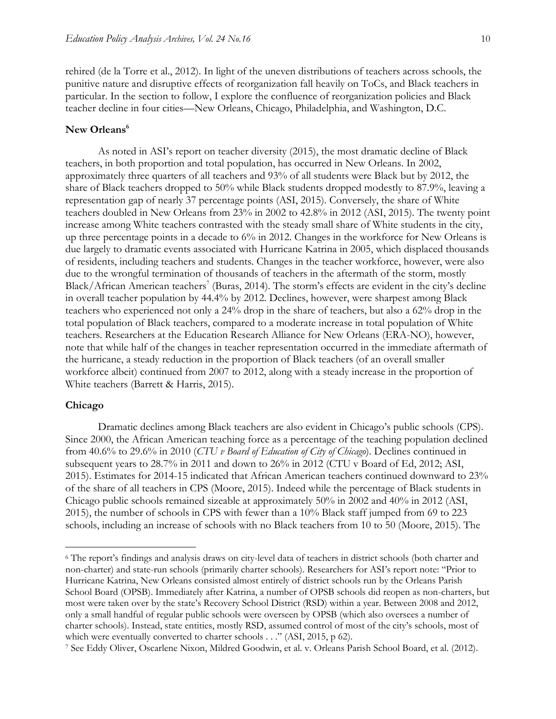rehired (de la Torre et al., 2012). In light of the uneven distributions of teachers across schools, the punitive nature and disruptive effects of reorganization fall heavily on ToCs, and Black teachers in particular. In the section to follow, I explore the confluence of reorganization policies and Black teacher decline in four cities—New Orleans, Chicago, Philadelphia, and Washington, D.C.

#### **New Orleans<sup>6</sup>**

As noted in ASI's report on teacher diversity (2015), the most dramatic decline of Black teachers, in both proportion and total population, has occurred in New Orleans. In 2002, approximately three quarters of all teachers and 93% of all students were Black but by 2012, the share of Black teachers dropped to 50% while Black students dropped modestly to 87.9%, leaving a representation gap of nearly 37 percentage points (ASI, 2015). Conversely, the share of White teachers doubled in New Orleans from 23% in 2002 to 42.8% in 2012 (ASI, 2015). The twenty point increase among White teachers contrasted with the steady small share of White students in the city, up three percentage points in a decade to 6% in 2012. Changes in the workforce for New Orleans is due largely to dramatic events associated with Hurricane Katrina in 2005, which displaced thousands of residents, including teachers and students. Changes in the teacher workforce, however, were also due to the wrongful termination of thousands of teachers in the aftermath of the storm, mostly Black/African American teachers<sup>7</sup> (Buras, 2014). The storm's effects are evident in the city's decline in overall teacher population by 44.4% by 2012. Declines, however, were sharpest among Black teachers who experienced not only a 24% drop in the share of teachers, but also a 62% drop in the total population of Black teachers, compared to a moderate increase in total population of White teachers. Researchers at the Education Research Alliance for New Orleans (ERA-NO), however, note that while half of the changes in teacher representation occurred in the immediate aftermath of the hurricane, a steady reduction in the proportion of Black teachers (of an overall smaller workforce albeit) continued from 2007 to 2012, along with a steady increase in the proportion of White teachers (Barrett & Harris, 2015).

#### **Chicago**

 $\overline{a}$ 

Dramatic declines among Black teachers are also evident in Chicago's public schools (CPS). Since 2000, the African American teaching force as a percentage of the teaching population declined from 40.6% to 29.6% in 2010 (*CTU v Board of Education of City of Chicago*). Declines continued in subsequent years to 28.7% in 2011 and down to 26% in 2012 (CTU v Board of Ed, 2012; ASI, 2015). Estimates for 2014-15 indicated that African American teachers continued downward to 23% of the share of all teachers in CPS (Moore, 2015). Indeed while the percentage of Black students in Chicago public schools remained sizeable at approximately 50% in 2002 and 40% in 2012 (ASI, 2015), the number of schools in CPS with fewer than a 10% Black staff jumped from 69 to 223 schools, including an increase of schools with no Black teachers from 10 to 50 (Moore, 2015). The

<sup>6</sup> The report's findings and analysis draws on city-level data of teachers in district schools (both charter and non-charter) and state-run schools (primarily charter schools). Researchers for ASI's report note: "Prior to Hurricane Katrina, New Orleans consisted almost entirely of district schools run by the Orleans Parish School Board (OPSB). Immediately after Katrina, a number of OPSB schools did reopen as non-charters, but most were taken over by the state's Recovery School District (RSD) within a year. Between 2008 and 2012, only a small handful of regular public schools were overseen by OPSB (which also oversees a number of charter schools). Instead, state entities, mostly RSD, assumed control of most of the city's schools, most of which were eventually converted to charter schools . . ." (ASI, 2015, p 62).

<sup>7</sup> See Eddy Oliver, Oscarlene Nixon, Mildred Goodwin, et al. v. Orleans Parish School Board, et al. (2012).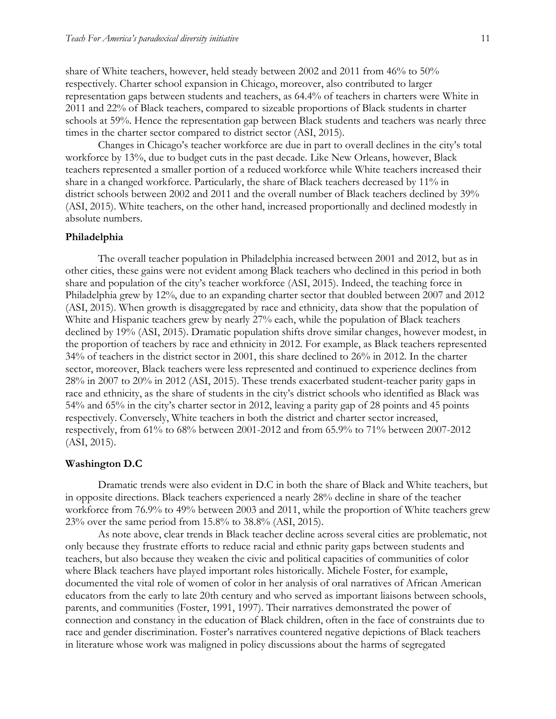share of White teachers, however, held steady between 2002 and 2011 from 46% to 50% respectively. Charter school expansion in Chicago, moreover, also contributed to larger representation gaps between students and teachers, as 64.4% of teachers in charters were White in 2011 and 22% of Black teachers, compared to sizeable proportions of Black students in charter schools at 59%. Hence the representation gap between Black students and teachers was nearly three times in the charter sector compared to district sector (ASI, 2015).

Changes in Chicago's teacher workforce are due in part to overall declines in the city's total workforce by 13%, due to budget cuts in the past decade. Like New Orleans, however, Black teachers represented a smaller portion of a reduced workforce while White teachers increased their share in a changed workforce. Particularly, the share of Black teachers decreased by 11% in district schools between 2002 and 2011 and the overall number of Black teachers declined by 39% (ASI, 2015). White teachers, on the other hand, increased proportionally and declined modestly in absolute numbers.

#### **Philadelphia**

The overall teacher population in Philadelphia increased between 2001 and 2012, but as in other cities, these gains were not evident among Black teachers who declined in this period in both share and population of the city's teacher workforce (ASI, 2015). Indeed, the teaching force in Philadelphia grew by 12%, due to an expanding charter sector that doubled between 2007 and 2012 (ASI, 2015). When growth is disaggregated by race and ethnicity, data show that the population of White and Hispanic teachers grew by nearly 27% each, while the population of Black teachers declined by 19% (ASI, 2015). Dramatic population shifts drove similar changes, however modest, in the proportion of teachers by race and ethnicity in 2012. For example, as Black teachers represented 34% of teachers in the district sector in 2001, this share declined to 26% in 2012. In the charter sector, moreover, Black teachers were less represented and continued to experience declines from 28% in 2007 to 20% in 2012 (ASI, 2015). These trends exacerbated student-teacher parity gaps in race and ethnicity, as the share of students in the city's district schools who identified as Black was 54% and 65% in the city's charter sector in 2012, leaving a parity gap of 28 points and 45 points respectively. Conversely, White teachers in both the district and charter sector increased, respectively, from 61% to 68% between 2001-2012 and from 65.9% to 71% between 2007-2012 (ASI, 2015).

#### **Washington D.C**

Dramatic trends were also evident in D.C in both the share of Black and White teachers, but in opposite directions. Black teachers experienced a nearly 28% decline in share of the teacher workforce from 76.9% to 49% between 2003 and 2011, while the proportion of White teachers grew 23% over the same period from 15.8% to 38.8% (ASI, 2015).

As note above, clear trends in Black teacher decline across several cities are problematic, not only because they frustrate efforts to reduce racial and ethnic parity gaps between students and teachers, but also because they weaken the civic and political capacities of communities of color where Black teachers have played important roles historically. Michele Foster, for example, documented the vital role of women of color in her analysis of oral narratives of African American educators from the early to late 20th century and who served as important liaisons between schools, parents, and communities (Foster, 1991, 1997). Their narratives demonstrated the power of connection and constancy in the education of Black children, often in the face of constraints due to race and gender discrimination. Foster's narratives countered negative depictions of Black teachers in literature whose work was maligned in policy discussions about the harms of segregated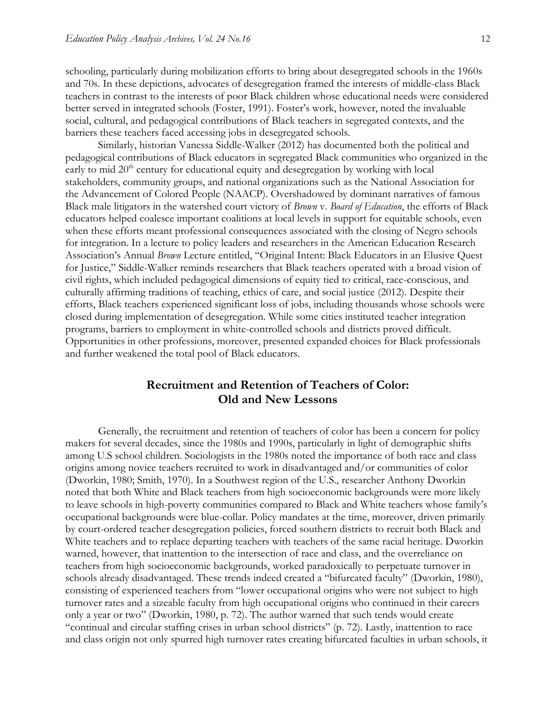schooling, particularly during mobilization efforts to bring about desegregated schools in the 1960s and 70s. In these depictions, advocates of desegregation framed the interests of middle-class Black teachers in contrast to the interests of poor Black children whose educational needs were considered better served in integrated schools (Foster, 1991). Foster's work, however, noted the invaluable social, cultural, and pedagogical contributions of Black teachers in segregated contexts, and the barriers these teachers faced accessing jobs in desegregated schools.

Similarly, historian Vanessa Siddle-Walker (2012) has documented both the political and pedagogical contributions of Black educators in segregated Black communities who organized in the early to mid  $20<sup>th</sup>$  century for educational equity and desegregation by working with local stakeholders, community groups, and national organizations such as the National Association for the Advancement of Colored People (NAACP). Overshadowed by dominant narratives of famous Black male litigators in the watershed court victory of *Brown* v. *Board of Education*, the efforts of Black educators helped coalesce important coalitions at local levels in support for equitable schools, even when these efforts meant professional consequences associated with the closing of Negro schools for integration. In a lecture to policy leaders and researchers in the American Education Research Association's Annual *Brown* Lecture entitled, "Original Intent: Black Educators in an Elusive Quest for Justice," Siddle-Walker reminds researchers that Black teachers operated with a broad vision of civil rights, which included pedagogical dimensions of equity tied to critical, race-conscious, and culturally affirming traditions of teaching, ethics of care, and social justice (2012). Despite their efforts, Black teachers experienced significant loss of jobs, including thousands whose schools were closed during implementation of desegregation. While some cities instituted teacher integration programs, barriers to employment in white-controlled schools and districts proved difficult. Opportunities in other professions, moreover, presented expanded choices for Black professionals and further weakened the total pool of Black educators.

## **Recruitment and Retention of Teachers of Color: Old and New Lessons**

Generally, the recruitment and retention of teachers of color has been a concern for policy makers for several decades, since the 1980s and 1990s, particularly in light of demographic shifts among U.S school children. Sociologists in the 1980s noted the importance of both race and class origins among novice teachers recruited to work in disadvantaged and/or communities of color (Dworkin, 1980; Smith, 1970). In a Southwest region of the U.S., researcher Anthony Dworkin noted that both White and Black teachers from high socioeconomic backgrounds were more likely to leave schools in high-poverty communities compared to Black and White teachers whose family's occupational backgrounds were blue-collar. Policy mandates at the time, moreover, driven primarily by court-ordered teacher desegregation policies, forced southern districts to recruit both Black and White teachers and to replace departing teachers with teachers of the same racial heritage. Dworkin warned, however, that inattention to the intersection of race and class, and the overreliance on teachers from high socioeconomic backgrounds, worked paradoxically to perpetuate turnover in schools already disadvantaged. These trends indeed created a "bifurcated faculty" (Dworkin, 1980), consisting of experienced teachers from "lower occupational origins who were not subject to high turnover rates and a sizeable faculty from high occupational origins who continued in their careers only a year or two" (Dworkin, 1980, p. 72). The author warned that such tends would create "continual and circular staffing crises in urban school districts" (p. 72). Lastly, inattention to race and class origin not only spurred high turnover rates creating bifurcated faculties in urban schools, it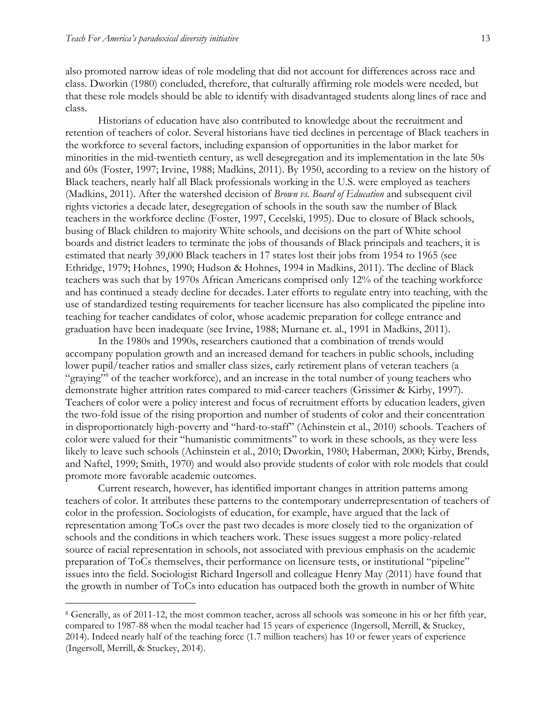$\overline{a}$ 

also promoted narrow ideas of role modeling that did not account for differences across race and class. Dworkin (1980) concluded, therefore, that culturally affirming role models were needed, but that these role models should be able to identify with disadvantaged students along lines of race and class.

Historians of education have also contributed to knowledge about the recruitment and retention of teachers of color. Several historians have tied declines in percentage of Black teachers in the workforce to several factors, including expansion of opportunities in the labor market for minorities in the mid-twentieth century, as well desegregation and its implementation in the late 50s and 60s (Foster, 1997; Irvine, 1988; Madkins, 2011). By 1950, according to a review on the history of Black teachers, nearly half all Black professionals working in the U.S. were employed as teachers (Madkins, 2011). After the watershed decision of *Brown vs. Board of Education* and subsequent civil rights victories a decade later, desegregation of schools in the south saw the number of Black teachers in the workforce decline (Foster, 1997, Cecelski, 1995). Due to closure of Black schools, busing of Black children to majority White schools, and decisions on the part of White school boards and district leaders to terminate the jobs of thousands of Black principals and teachers, it is estimated that nearly 39,000 Black teachers in 17 states lost their jobs from 1954 to 1965 (see Ethridge, 1979; Hohnes, 1990; Hudson & Hohnes, 1994 in Madkins, 2011). The decline of Black teachers was such that by 1970s African Americans comprised only 12% of the teaching workforce and has continued a steady decline for decades. Later efforts to regulate entry into teaching, with the use of standardized testing requirements for teacher licensure has also complicated the pipeline into teaching for teacher candidates of color, whose academic preparation for college entrance and graduation have been inadequate (see Irvine, 1988; Murnane et. al., 1991 in Madkins, 2011).

In the 1980s and 1990s, researchers cautioned that a combination of trends would accompany population growth and an increased demand for teachers in public schools, including lower pupil/teacher ratios and smaller class sizes, early retirement plans of veteran teachers (a "graying"<sup>8</sup> of the teacher workforce), and an increase in the total number of young teachers who demonstrate higher attrition rates compared to mid-career teachers (Grissimer & Kirby, 1997). Teachers of color were a policy interest and focus of recruitment efforts by education leaders, given the two-fold issue of the rising proportion and number of students of color and their concentration in disproportionately high-poverty and "hard-to-staff" (Achinstein et al., 2010) schools. Teachers of color were valued for their "humanistic commitments" to work in these schools, as they were less likely to leave such schools (Achinstein et al., 2010; Dworkin, 1980; Haberman, 2000; Kirby, Brends, and Naftel, 1999; Smith, 1970) and would also provide students of color with role models that could promote more favorable academic outcomes.

Current research, however, has identified important changes in attrition patterns among teachers of color. It attributes these patterns to the contemporary underrepresentation of teachers of color in the profession. Sociologists of education, for example, have argued that the lack of representation among ToCs over the past two decades is more closely tied to the organization of schools and the conditions in which teachers work. These issues suggest a more policy-related source of racial representation in schools, not associated with previous emphasis on the academic preparation of ToCs themselves, their performance on licensure tests, or institutional "pipeline" issues into the field. Sociologist Richard Ingersoll and colleague Henry May (2011) have found that the growth in number of ToCs into education has outpaced both the growth in number of White

<sup>8</sup> Generally, as of 2011-12, the most common teacher, across all schools was someone in his or her fifth year, compared to 1987-88 when the modal teacher had 15 years of experience (Ingersoll, Merrill, & Stuckey, 2014). Indeed nearly half of the teaching force (1.7 million teachers) has 10 or fewer years of experience (Ingersoll, Merrill, & Stuckey, 2014).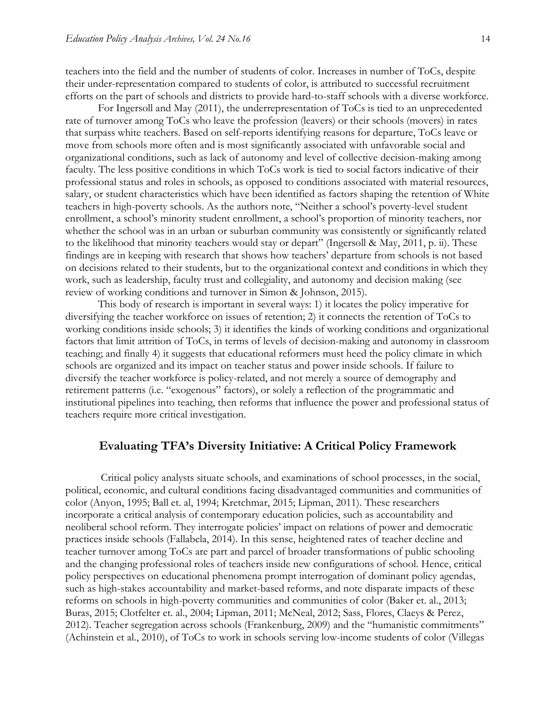teachers into the field and the number of students of color. Increases in number of ToCs, despite their under-representation compared to students of color, is attributed to successful recruitment efforts on the part of schools and districts to provide hard-to-staff schools with a diverse workforce.

For Ingersoll and May (2011), the underrepresentation of ToCs is tied to an unprecedented rate of turnover among ToCs who leave the profession (leavers) or their schools (movers) in rates that surpass white teachers. Based on self-reports identifying reasons for departure, ToCs leave or move from schools more often and is most significantly associated with unfavorable social and organizational conditions, such as lack of autonomy and level of collective decision-making among faculty. The less positive conditions in which ToCs work is tied to social factors indicative of their professional status and roles in schools, as opposed to conditions associated with material resources, salary, or student characteristics which have been identified as factors shaping the retention of White teachers in high-poverty schools. As the authors note, "Neither a school's poverty-level student enrollment, a school's minority student enrollment, a school's proportion of minority teachers, nor whether the school was in an urban or suburban community was consistently or significantly related to the likelihood that minority teachers would stay or depart" (Ingersoll & May, 2011, p. ii). These findings are in keeping with research that shows how teachers' departure from schools is not based on decisions related to their students, but to the organizational context and conditions in which they work, such as leadership, faculty trust and collegiality, and autonomy and decision making (see review of working conditions and turnover in Simon & Johnson, 2015).

This body of research is important in several ways: 1) it locates the policy imperative for diversifying the teacher workforce on issues of retention; 2) it connects the retention of ToCs to working conditions inside schools; 3) it identifies the kinds of working conditions and organizational factors that limit attrition of ToCs, in terms of levels of decision-making and autonomy in classroom teaching; and finally 4) it suggests that educational reformers must heed the policy climate in which schools are organized and its impact on teacher status and power inside schools. If failure to diversify the teacher workforce is policy-related, and not merely a source of demography and retirement patterns (i.e. "exogenous" factors), or solely a reflection of the programmatic and institutional pipelines into teaching, then reforms that influence the power and professional status of teachers require more critical investigation.

#### **Evaluating TFA's Diversity Initiative: A Critical Policy Framework**

Critical policy analysts situate schools, and examinations of school processes, in the social, political, economic, and cultural conditions facing disadvantaged communities and communities of color (Anyon, 1995; Ball et. al, 1994; Kretchmar, 2015; Lipman, 2011). These researchers incorporate a critical analysis of contemporary education policies, such as accountability and neoliberal school reform. They interrogate policies' impact on relations of power and democratic practices inside schools (Fallabela, 2014). In this sense, heightened rates of teacher decline and teacher turnover among ToCs are part and parcel of broader transformations of public schooling and the changing professional roles of teachers inside new configurations of school. Hence, critical policy perspectives on educational phenomena prompt interrogation of dominant policy agendas, such as high-stakes accountability and market-based reforms, and note disparate impacts of these reforms on schools in high-poverty communities and communities of color (Baker et. al., 2013; Buras, 2015; Clotfelter et. al., 2004; Lipman, 2011; McNeal, 2012; Sass, Flores, Claeys & Perez, 2012). Teacher segregation across schools (Frankenburg, 2009) and the "humanistic commitments" (Achinstein et al., 2010), of ToCs to work in schools serving low-income students of color (Villegas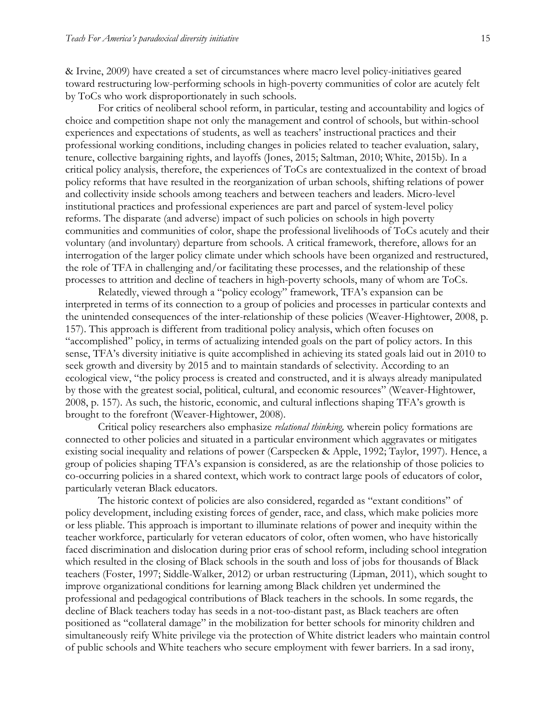& Irvine, 2009) have created a set of circumstances where macro level policy-initiatives geared toward restructuring low-performing schools in high-poverty communities of color are acutely felt by ToCs who work disproportionately in such schools.

For critics of neoliberal school reform, in particular, testing and accountability and logics of choice and competition shape not only the management and control of schools, but within-school experiences and expectations of students, as well as teachers' instructional practices and their professional working conditions, including changes in policies related to teacher evaluation, salary, tenure, collective bargaining rights, and layoffs (Jones, 2015; Saltman, 2010; White, 2015b). In a critical policy analysis, therefore, the experiences of ToCs are contextualized in the context of broad policy reforms that have resulted in the reorganization of urban schools, shifting relations of power and collectivity inside schools among teachers and between teachers and leaders. Micro-level institutional practices and professional experiences are part and parcel of system-level policy reforms. The disparate (and adverse) impact of such policies on schools in high poverty communities and communities of color, shape the professional livelihoods of ToCs acutely and their voluntary (and involuntary) departure from schools. A critical framework, therefore, allows for an interrogation of the larger policy climate under which schools have been organized and restructured, the role of TFA in challenging and/or facilitating these processes, and the relationship of these processes to attrition and decline of teachers in high-poverty schools, many of whom are ToCs.

Relatedly, viewed through a "policy ecology" framework, TFA's expansion can be interpreted in terms of its connection to a group of policies and processes in particular contexts and the unintended consequences of the inter-relationship of these policies (Weaver-Hightower, 2008, p. 157). This approach is different from traditional policy analysis, which often focuses on "accomplished" policy, in terms of actualizing intended goals on the part of policy actors. In this sense, TFA's diversity initiative is quite accomplished in achieving its stated goals laid out in 2010 to seek growth and diversity by 2015 and to maintain standards of selectivity. According to an ecological view, "the policy process is created and constructed, and it is always already manipulated by those with the greatest social, political, cultural, and economic resources" (Weaver-Hightower, 2008, p. 157). As such, the historic, economic, and cultural inflections shaping TFA's growth is brought to the forefront (Weaver-Hightower, 2008).

Critical policy researchers also emphasize *relational thinking,* wherein policy formations are connected to other policies and situated in a particular environment which aggravates or mitigates existing social inequality and relations of power (Carspecken & Apple, 1992; Taylor, 1997). Hence, a group of policies shaping TFA's expansion is considered, as are the relationship of those policies to co-occurring policies in a shared context, which work to contract large pools of educators of color, particularly veteran Black educators.

The historic context of policies are also considered, regarded as "extant conditions" of policy development, including existing forces of gender, race, and class, which make policies more or less pliable. This approach is important to illuminate relations of power and inequity within the teacher workforce, particularly for veteran educators of color, often women, who have historically faced discrimination and dislocation during prior eras of school reform, including school integration which resulted in the closing of Black schools in the south and loss of jobs for thousands of Black teachers (Foster, 1997; Siddle-Walker, 2012) or urban restructuring (Lipman, 2011), which sought to improve organizational conditions for learning among Black children yet undermined the professional and pedagogical contributions of Black teachers in the schools. In some regards, the decline of Black teachers today has seeds in a not-too-distant past, as Black teachers are often positioned as "collateral damage" in the mobilization for better schools for minority children and simultaneously reify White privilege via the protection of White district leaders who maintain control of public schools and White teachers who secure employment with fewer barriers. In a sad irony,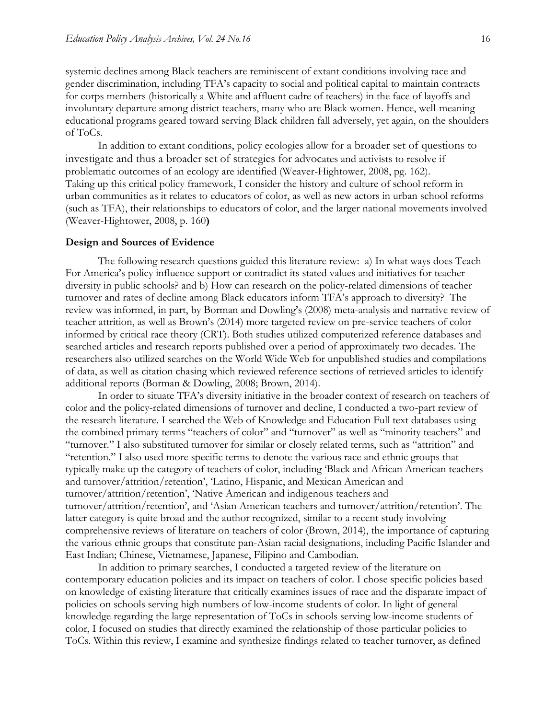systemic declines among Black teachers are reminiscent of extant conditions involving race and gender discrimination, including TFA's capacity to social and political capital to maintain contracts for corps members (historically a White and affluent cadre of teachers) in the face of layoffs and involuntary departure among district teachers, many who are Black women. Hence, well-meaning educational programs geared toward serving Black children fall adversely, yet again, on the shoulders of ToCs.

In addition to extant conditions, policy ecologies allow for a broader set of questions to investigate and thus a broader set of strategies for advocates and activists to resolve if problematic outcomes of an ecology are identified (Weaver-Hightower, 2008, pg. 162). Taking up this critical policy framework, I consider the history and culture of school reform in urban communities as it relates to educators of color, as well as new actors in urban school reforms (such as TFA), their relationships to educators of color, and the larger national movements involved (Weaver-Hightower, 2008, p. 160**)**

#### **Design and Sources of Evidence**

The following research questions guided this literature review: a) In what ways does Teach For America's policy influence support or contradict its stated values and initiatives for teacher diversity in public schools? and b) How can research on the policy-related dimensions of teacher turnover and rates of decline among Black educators inform TFA's approach to diversity? The review was informed, in part, by Borman and Dowling's (2008) meta-analysis and narrative review of teacher attrition, as well as Brown's (2014) more targeted review on pre-service teachers of color informed by critical race theory (CRT). Both studies utilized computerized reference databases and searched articles and research reports published over a period of approximately two decades. The researchers also utilized searches on the World Wide Web for unpublished studies and compilations of data, as well as citation chasing which reviewed reference sections of retrieved articles to identify additional reports (Borman & Dowling, 2008; Brown, 2014).

In order to situate TFA's diversity initiative in the broader context of research on teachers of color and the policy-related dimensions of turnover and decline, I conducted a two-part review of the research literature. I searched the Web of Knowledge and Education Full text databases using the combined primary terms "teachers of color" and "turnover" as well as "minority teachers" and "turnover." I also substituted turnover for similar or closely related terms, such as "attrition" and "retention." I also used more specific terms to denote the various race and ethnic groups that typically make up the category of teachers of color, including 'Black and African American teachers and turnover/attrition/retention', 'Latino, Hispanic, and Mexican American and turnover/attrition/retention', 'Native American and indigenous teachers and turnover/attrition/retention', and 'Asian American teachers and turnover/attrition/retention'. The latter category is quite broad and the author recognized, similar to a recent study involving comprehensive reviews of literature on teachers of color (Brown, 2014), the importance of capturing the various ethnic groups that constitute pan-Asian racial designations, including Pacific Islander and East Indian; Chinese, Vietnamese, Japanese, Filipino and Cambodian.

In addition to primary searches, I conducted a targeted review of the literature on contemporary education policies and its impact on teachers of color. I chose specific policies based on knowledge of existing literature that critically examines issues of race and the disparate impact of policies on schools serving high numbers of low-income students of color. In light of general knowledge regarding the large representation of ToCs in schools serving low-income students of color, I focused on studies that directly examined the relationship of those particular policies to ToCs. Within this review, I examine and synthesize findings related to teacher turnover, as defined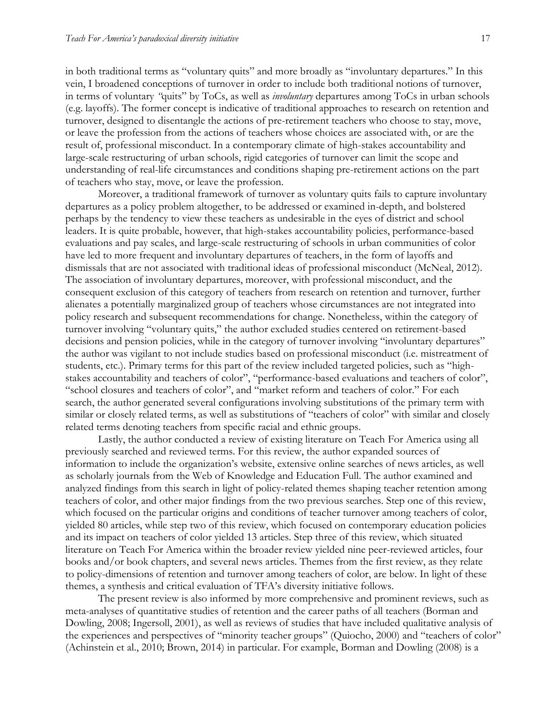in both traditional terms as "voluntary quits" and more broadly as "involuntary departures." In this vein, I broadened conceptions of turnover in order to include both traditional notions of turnover, in terms of voluntary *"*quits" by ToCs, as well as *involuntary* departures among ToCs in urban schools (e.g. layoffs). The former concept is indicative of traditional approaches to research on retention and turnover, designed to disentangle the actions of pre-retirement teachers who choose to stay, move, or leave the profession from the actions of teachers whose choices are associated with, or are the result of, professional misconduct. In a contemporary climate of high-stakes accountability and large-scale restructuring of urban schools, rigid categories of turnover can limit the scope and understanding of real-life circumstances and conditions shaping pre-retirement actions on the part of teachers who stay, move, or leave the profession.

Moreover, a traditional framework of turnover as voluntary quits fails to capture involuntary departures as a policy problem altogether, to be addressed or examined in-depth, and bolstered perhaps by the tendency to view these teachers as undesirable in the eyes of district and school leaders. It is quite probable, however, that high-stakes accountability policies, performance-based evaluations and pay scales, and large-scale restructuring of schools in urban communities of color have led to more frequent and involuntary departures of teachers, in the form of layoffs and dismissals that are not associated with traditional ideas of professional misconduct (McNeal, 2012). The association of involuntary departures, moreover, with professional misconduct, and the consequent exclusion of this category of teachers from research on retention and turnover, further alienates a potentially marginalized group of teachers whose circumstances are not integrated into policy research and subsequent recommendations for change. Nonetheless, within the category of turnover involving "voluntary quits," the author excluded studies centered on retirement-based decisions and pension policies, while in the category of turnover involving "involuntary departures" the author was vigilant to not include studies based on professional misconduct (i.e. mistreatment of students, etc.). Primary terms for this part of the review included targeted policies, such as "highstakes accountability and teachers of color", "performance-based evaluations and teachers of color", "school closures and teachers of color", and "market reform and teachers of color." For each search, the author generated several configurations involving substitutions of the primary term with similar or closely related terms, as well as substitutions of "teachers of color" with similar and closely related terms denoting teachers from specific racial and ethnic groups.

Lastly, the author conducted a review of existing literature on Teach For America using all previously searched and reviewed terms. For this review, the author expanded sources of information to include the organization's website, extensive online searches of news articles, as well as scholarly journals from the Web of Knowledge and Education Full. The author examined and analyzed findings from this search in light of policy-related themes shaping teacher retention among teachers of color, and other major findings from the two previous searches. Step one of this review, which focused on the particular origins and conditions of teacher turnover among teachers of color, yielded 80 articles, while step two of this review, which focused on contemporary education policies and its impact on teachers of color yielded 13 articles. Step three of this review, which situated literature on Teach For America within the broader review yielded nine peer-reviewed articles, four books and/or book chapters, and several news articles. Themes from the first review, as they relate to policy-dimensions of retention and turnover among teachers of color, are below. In light of these themes, a synthesis and critical evaluation of TFA's diversity initiative follows.

The present review is also informed by more comprehensive and prominent reviews, such as meta-analyses of quantitative studies of retention and the career paths of all teachers (Borman and Dowling, 2008; Ingersoll, 2001), as well as reviews of studies that have included qualitative analysis of the experiences and perspectives of "minority teacher groups" (Quiocho, 2000) and "teachers of color" (Achinstein et al., 2010; Brown, 2014) in particular. For example, Borman and Dowling (2008) is a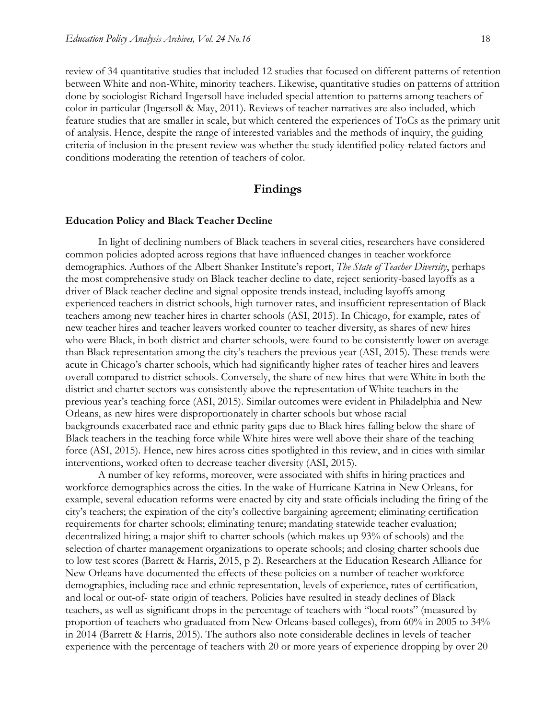review of 34 quantitative studies that included 12 studies that focused on different patterns of retention between White and non-White, minority teachers. Likewise, quantitative studies on patterns of attrition done by sociologist Richard Ingersoll have included special attention to patterns among teachers of color in particular (Ingersoll & May, 2011). Reviews of teacher narratives are also included, which feature studies that are smaller in scale, but which centered the experiences of ToCs as the primary unit of analysis. Hence, despite the range of interested variables and the methods of inquiry, the guiding criteria of inclusion in the present review was whether the study identified policy-related factors and conditions moderating the retention of teachers of color.

#### **Findings**

#### **Education Policy and Black Teacher Decline**

In light of declining numbers of Black teachers in several cities, researchers have considered common policies adopted across regions that have influenced changes in teacher workforce demographics. Authors of the Albert Shanker Institute's report, *The State of Teacher Diversity*, perhaps the most comprehensive study on Black teacher decline to date, reject seniority-based layoffs as a driver of Black teacher decline and signal opposite trends instead, including layoffs among experienced teachers in district schools, high turnover rates, and insufficient representation of Black teachers among new teacher hires in charter schools (ASI, 2015). In Chicago, for example, rates of new teacher hires and teacher leavers worked counter to teacher diversity, as shares of new hires who were Black, in both district and charter schools, were found to be consistently lower on average than Black representation among the city's teachers the previous year (ASI, 2015). These trends were acute in Chicago's charter schools, which had significantly higher rates of teacher hires and leavers overall compared to district schools. Conversely, the share of new hires that were White in both the district and charter sectors was consistently above the representation of White teachers in the previous year's teaching force (ASI, 2015). Similar outcomes were evident in Philadelphia and New Orleans, as new hires were disproportionately in charter schools but whose racial backgrounds exacerbated race and ethnic parity gaps due to Black hires falling below the share of Black teachers in the teaching force while White hires were well above their share of the teaching force (ASI, 2015). Hence, new hires across cities spotlighted in this review, and in cities with similar interventions, worked often to decrease teacher diversity (ASI, 2015).

A number of key reforms, moreover, were associated with shifts in hiring practices and workforce demographics across the cities. In the wake of Hurricane Katrina in New Orleans, for example, several education reforms were enacted by city and state officials including the firing of the city's teachers; the expiration of the city's collective bargaining agreement; eliminating certification requirements for charter schools; eliminating tenure; mandating statewide teacher evaluation; decentralized hiring; a major shift to charter schools (which makes up 93% of schools) and the selection of charter management organizations to operate schools; and closing charter schools due to low test scores (Barrett & Harris, 2015, p 2). Researchers at the Education Research Alliance for New Orleans have documented the effects of these policies on a number of teacher workforce demographics, including race and ethnic representation, levels of experience, rates of certification, and local or out-of- state origin of teachers. Policies have resulted in steady declines of Black teachers, as well as significant drops in the percentage of teachers with "local roots" (measured by proportion of teachers who graduated from New Orleans-based colleges), from 60% in 2005 to 34% in 2014 (Barrett & Harris, 2015). The authors also note considerable declines in levels of teacher experience with the percentage of teachers with 20 or more years of experience dropping by over 20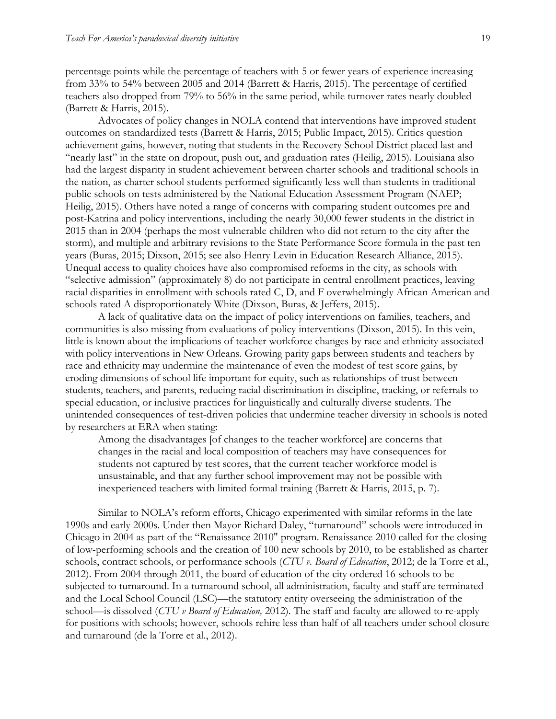percentage points while the percentage of teachers with 5 or fewer years of experience increasing from 33% to 54% between 2005 and 2014 (Barrett & Harris, 2015). The percentage of certified teachers also dropped from 79% to 56% in the same period, while turnover rates nearly doubled (Barrett & Harris, 2015).

Advocates of policy changes in NOLA contend that interventions have improved student outcomes on standardized tests (Barrett & Harris, 2015; Public Impact, 2015). Critics question achievement gains, however, noting that students in the Recovery School District placed last and "nearly last" in the state on dropout, push out, and graduation rates (Heilig, 2015). Louisiana also had the largest disparity in student achievement between charter schools and traditional schools in the nation, as charter school students performed significantly less well than students in traditional public schools on tests administered by the National Education Assessment Program (NAEP; Heilig, 2015). Others have noted a range of concerns with comparing student outcomes pre and post-Katrina and policy interventions, including the nearly 30,000 fewer students in the district in 2015 than in 2004 (perhaps the most vulnerable children who did not return to the city after the storm), and multiple and arbitrary revisions to the State Performance Score formula in the past ten years (Buras, 2015; Dixson, 2015; see also Henry Levin in Education Research Alliance, 2015). Unequal access to quality choices have also compromised reforms in the city, as schools with "selective admission" (approximately 8) do not participate in central enrollment practices, leaving racial disparities in enrollment with schools rated C, D, and F overwhelmingly African American and schools rated A disproportionately White (Dixson, Buras, & Jeffers, 2015).

A lack of qualitative data on the impact of policy interventions on families, teachers, and communities is also missing from evaluations of policy interventions (Dixson, 2015). In this vein, little is known about the implications of teacher workforce changes by race and ethnicity associated with policy interventions in New Orleans. Growing parity gaps between students and teachers by race and ethnicity may undermine the maintenance of even the modest of test score gains, by eroding dimensions of school life important for equity, such as relationships of trust between students, teachers, and parents, reducing racial discrimination in discipline, tracking, or referrals to special education, or inclusive practices for linguistically and culturally diverse students. The unintended consequences of test-driven policies that undermine teacher diversity in schools is noted by researchers at ERA when stating:

Among the disadvantages [of changes to the teacher workforce] are concerns that changes in the racial and local composition of teachers may have consequences for students not captured by test scores, that the current teacher workforce model is unsustainable, and that any further school improvement may not be possible with inexperienced teachers with limited formal training (Barrett & Harris, 2015, p. 7).

Similar to NOLA's reform efforts, Chicago experimented with similar reforms in the late 1990s and early 2000s. Under then Mayor Richard Daley, "turnaround" schools were introduced in Chicago in 2004 as part of the "Renaissance 2010" program. Renaissance 2010 called for the closing of low-performing schools and the creation of 100 new schools by 2010, to be established as charter schools, contract schools, or performance schools (*CTU v. Board of Education*, 2012; de la Torre et al., 2012). From 2004 through 2011, the board of education of the city ordered 16 schools to be subjected to turnaround. In a turnaround school, all administration, faculty and staff are terminated and the Local School Council (LSC)—the statutory entity overseeing the administration of the school—is dissolved (*CTU v Board of Education,* 2012). The staff and faculty are allowed to re-apply for positions with schools; however, schools rehire less than half of all teachers under school closure and turnaround (de la Torre et al., 2012).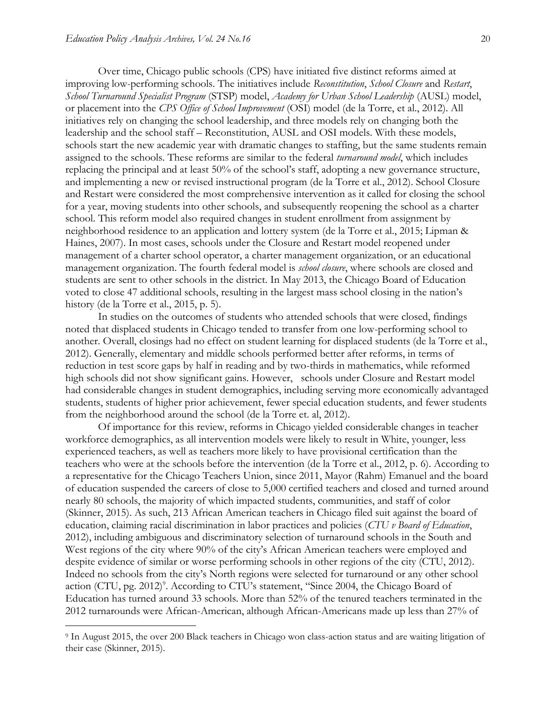$\overline{a}$ 

Over time, Chicago public schools (CPS) have initiated five distinct reforms aimed at improving low-performing schools. The initiatives include *Reconstitution*, *School Closure* and *Restart*, *School Turnaround Specialist Program* (STSP) model, *Academy for Urban School Leadership* (AUSL) model, or placement into the *CPS Office of School Improvement* (OSI) model (de la Torre, et al., 2012). All initiatives rely on changing the school leadership, and three models rely on changing both the leadership and the school staff – Reconstitution, AUSL and OSI models. With these models, schools start the new academic year with dramatic changes to staffing, but the same students remain assigned to the schools. These reforms are similar to the federal *turnaround model*, which includes replacing the principal and at least 50% of the school's staff, adopting a new governance structure, and implementing a new or revised instructional program (de la Torre et al., 2012). School Closure and Restart were considered the most comprehensive intervention as it called for closing the school for a year, moving students into other schools, and subsequently reopening the school as a charter school. This reform model also required changes in student enrollment from assignment by neighborhood residence to an application and lottery system (de la Torre et al., 2015; Lipman & Haines, 2007). In most cases, schools under the Closure and Restart model reopened under management of a charter school operator, a charter management organization, or an educational management organization. The fourth federal model is *school closure*, where schools are closed and students are sent to other schools in the district. In May 2013, the Chicago Board of Education voted to close 47 additional schools, resulting in the largest mass school closing in the nation's history (de la Torre et al., 2015, p. 5).

In studies on the outcomes of students who attended schools that were closed, findings noted that displaced students in Chicago tended to transfer from one low-performing school to another. Overall, closings had no effect on student learning for displaced students (de la Torre et al., 2012). Generally, elementary and middle schools performed better after reforms, in terms of reduction in test score gaps by half in reading and by two-thirds in mathematics, while reformed high schools did not show significant gains. However, schools under Closure and Restart model had considerable changes in student demographics, including serving more economically advantaged students, students of higher prior achievement, fewer special education students, and fewer students from the neighborhood around the school (de la Torre et. al, 2012).

Of importance for this review, reforms in Chicago yielded considerable changes in teacher workforce demographics, as all intervention models were likely to result in White, younger, less experienced teachers, as well as teachers more likely to have provisional certification than the teachers who were at the schools before the intervention (de la Torre et al., 2012, p. 6). According to a representative for the Chicago Teachers Union, since 2011, Mayor (Rahm) Emanuel and the board of education suspended the careers of close to 5,000 certified teachers and closed and turned around nearly 80 schools, the majority of which impacted students, communities, and staff of color (Skinner, 2015). As such, 213 African American teachers in Chicago filed suit against the board of education, claiming racial discrimination in labor practices and policies (*CTU v Board of Education*, 2012), including ambiguous and discriminatory selection of turnaround schools in the South and West regions of the city where 90% of the city's African American teachers were employed and despite evidence of similar or worse performing schools in other regions of the city (CTU, 2012). Indeed no schools from the city's North regions were selected for turnaround or any other school action (CTU, pg. 2012)<sup>9</sup>. According to CTU's statement, "Since 2004, the Chicago Board of Education has turned around 33 schools. More than 52% of the tenured teachers terminated in the 2012 turnarounds were African-American, although African-Americans made up less than 27% of

<sup>9</sup> In August 2015, the over 200 Black teachers in Chicago won class-action status and are waiting litigation of their case (Skinner, 2015).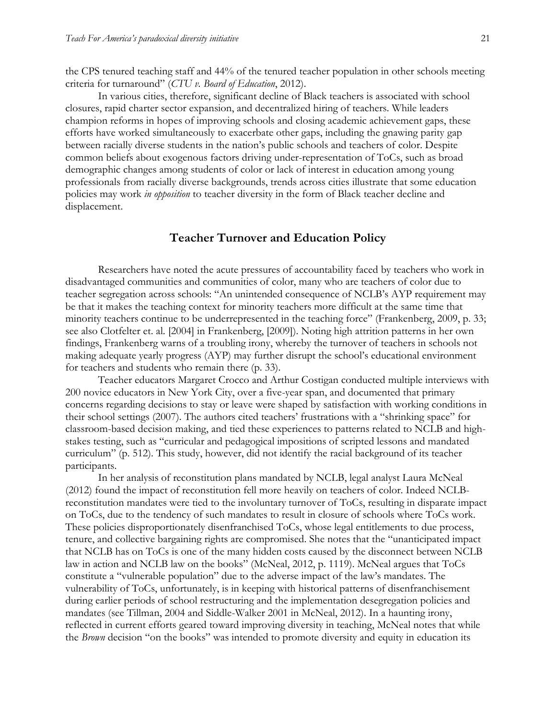the CPS tenured teaching staff and 44% of the tenured teacher population in other schools meeting criteria for turnaround" (*CTU v. Board of Education*, 2012).

In various cities, therefore, significant decline of Black teachers is associated with school closures, rapid charter sector expansion, and decentralized hiring of teachers. While leaders champion reforms in hopes of improving schools and closing academic achievement gaps, these efforts have worked simultaneously to exacerbate other gaps, including the gnawing parity gap between racially diverse students in the nation's public schools and teachers of color. Despite common beliefs about exogenous factors driving under-representation of ToCs, such as broad demographic changes among students of color or lack of interest in education among young professionals from racially diverse backgrounds, trends across cities illustrate that some education policies may work *in opposition* to teacher diversity in the form of Black teacher decline and displacement.

#### **Teacher Turnover and Education Policy**

Researchers have noted the acute pressures of accountability faced by teachers who work in disadvantaged communities and communities of color, many who are teachers of color due to teacher segregation across schools: "An unintended consequence of NCLB's AYP requirement may be that it makes the teaching context for minority teachers more difficult at the same time that minority teachers continue to be underrepresented in the teaching force" (Frankenberg, 2009, p. 33; see also Clotfelter et. al. [2004] in Frankenberg, [2009]). Noting high attrition patterns in her own findings, Frankenberg warns of a troubling irony, whereby the turnover of teachers in schools not making adequate yearly progress (AYP) may further disrupt the school's educational environment for teachers and students who remain there (p. 33).

Teacher educators Margaret Crocco and Arthur Costigan conducted multiple interviews with 200 novice educators in New York City, over a five-year span, and documented that primary concerns regarding decisions to stay or leave were shaped by satisfaction with working conditions in their school settings (2007). The authors cited teachers' frustrations with a "shrinking space" for classroom-based decision making, and tied these experiences to patterns related to NCLB and highstakes testing, such as "curricular and pedagogical impositions of scripted lessons and mandated curriculum" (p. 512). This study, however, did not identify the racial background of its teacher participants.

In her analysis of reconstitution plans mandated by NCLB, legal analyst Laura McNeal (2012) found the impact of reconstitution fell more heavily on teachers of color. Indeed NCLBreconstitution mandates were tied to the involuntary turnover of ToCs, resulting in disparate impact on ToCs, due to the tendency of such mandates to result in closure of schools where ToCs work. These policies disproportionately disenfranchised ToCs, whose legal entitlements to due process, tenure, and collective bargaining rights are compromised. She notes that the "unanticipated impact that NCLB has on ToCs is one of the many hidden costs caused by the disconnect between NCLB law in action and NCLB law on the books" (McNeal, 2012, p. 1119). McNeal argues that ToCs constitute a "vulnerable population" due to the adverse impact of the law's mandates. The vulnerability of ToCs, unfortunately, is in keeping with historical patterns of disenfranchisement during earlier periods of school restructuring and the implementation desegregation policies and mandates (see Tillman, 2004 and Siddle-Walker 2001 in McNeal, 2012). In a haunting irony, reflected in current efforts geared toward improving diversity in teaching, McNeal notes that while the *Brown* decision "on the books" was intended to promote diversity and equity in education its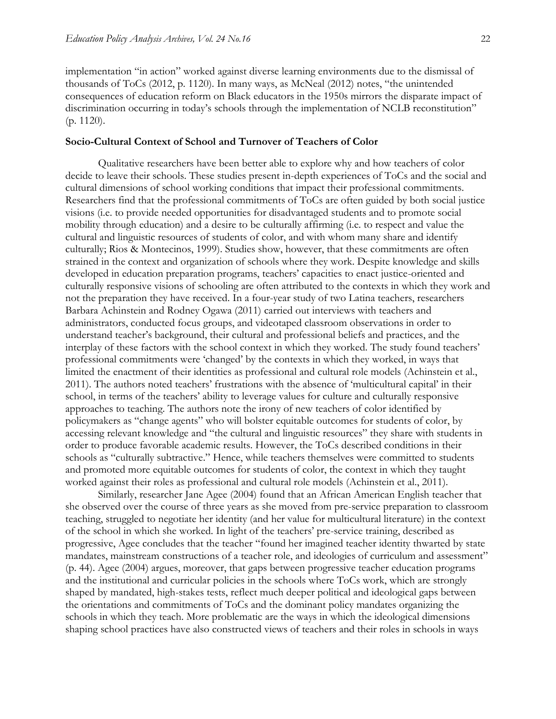implementation "in action" worked against diverse learning environments due to the dismissal of thousands of ToCs (2012, p. 1120). In many ways, as McNeal (2012) notes, "the unintended consequences of education reform on Black educators in the 1950s mirrors the disparate impact of discrimination occurring in today's schools through the implementation of NCLB reconstitution" (p. 1120).

#### **Socio-Cultural Context of School and Turnover of Teachers of Color**

Qualitative researchers have been better able to explore why and how teachers of color decide to leave their schools. These studies present in-depth experiences of ToCs and the social and cultural dimensions of school working conditions that impact their professional commitments. Researchers find that the professional commitments of ToCs are often guided by both social justice visions (i.e. to provide needed opportunities for disadvantaged students and to promote social mobility through education) and a desire to be culturally affirming (i.e. to respect and value the cultural and linguistic resources of students of color, and with whom many share and identify culturally; Rios & Montecinos, 1999). Studies show, however, that these commitments are often strained in the context and organization of schools where they work. Despite knowledge and skills developed in education preparation programs, teachers' capacities to enact justice-oriented and culturally responsive visions of schooling are often attributed to the contexts in which they work and not the preparation they have received. In a four-year study of two Latina teachers, researchers Barbara Achinstein and Rodney Ogawa (2011) carried out interviews with teachers and administrators, conducted focus groups, and videotaped classroom observations in order to understand teacher's background, their cultural and professional beliefs and practices, and the interplay of these factors with the school context in which they worked. The study found teachers' professional commitments were 'changed' by the contexts in which they worked, in ways that limited the enactment of their identities as professional and cultural role models (Achinstein et al., 2011). The authors noted teachers' frustrations with the absence of 'multicultural capital' in their school, in terms of the teachers' ability to leverage values for culture and culturally responsive approaches to teaching. The authors note the irony of new teachers of color identified by policymakers as "change agents" who will bolster equitable outcomes for students of color, by accessing relevant knowledge and "the cultural and linguistic resources" they share with students in order to produce favorable academic results. However, the ToCs described conditions in their schools as "culturally subtractive." Hence, while teachers themselves were committed to students and promoted more equitable outcomes for students of color, the context in which they taught worked against their roles as professional and cultural role models (Achinstein et al., 2011).

Similarly, researcher Jane Agee (2004) found that an African American English teacher that she observed over the course of three years as she moved from pre-service preparation to classroom teaching, struggled to negotiate her identity (and her value for multicultural literature) in the context of the school in which she worked. In light of the teachers' pre-service training, described as progressive, Agee concludes that the teacher "found her imagined teacher identity thwarted by state mandates, mainstream constructions of a teacher role, and ideologies of curriculum and assessment" (p. 44). Agee (2004) argues, moreover, that gaps between progressive teacher education programs and the institutional and curricular policies in the schools where ToCs work, which are strongly shaped by mandated, high-stakes tests, reflect much deeper political and ideological gaps between the orientations and commitments of ToCs and the dominant policy mandates organizing the schools in which they teach. More problematic are the ways in which the ideological dimensions shaping school practices have also constructed views of teachers and their roles in schools in ways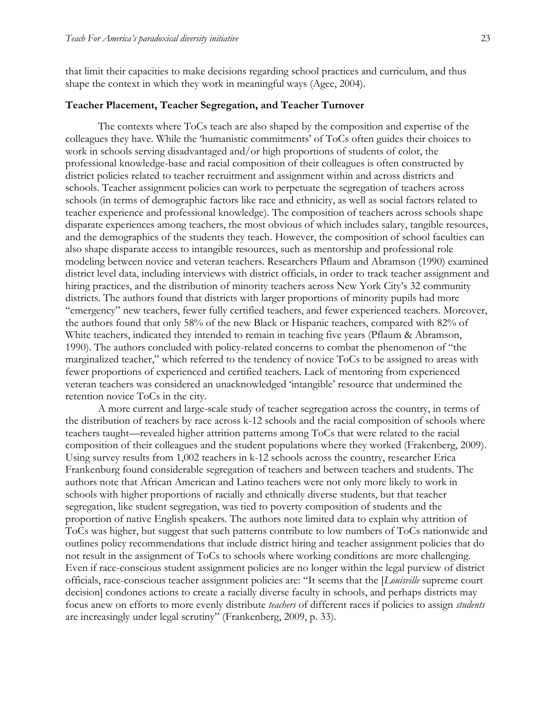that limit their capacities to make decisions regarding school practices and curriculum, and thus shape the context in which they work in meaningful ways (Agee, 2004).

#### **Teacher Placement, Teacher Segregation, and Teacher Turnover**

The contexts where ToCs teach are also shaped by the composition and expertise of the colleagues they have. While the 'humanistic commitments' of ToCs often guides their choices to work in schools serving disadvantaged and/or high proportions of students of color, the professional knowledge-base and racial composition of their colleagues is often constructed by district policies related to teacher recruitment and assignment within and across districts and schools. Teacher assignment policies can work to perpetuate the segregation of teachers across schools (in terms of demographic factors like race and ethnicity, as well as social factors related to teacher experience and professional knowledge). The composition of teachers across schools shape disparate experiences among teachers, the most obvious of which includes salary, tangible resources, and the demographics of the students they teach. However, the composition of school faculties can also shape disparate access to intangible resources, such as mentorship and professional role modeling between novice and veteran teachers. Researchers Pflaum and Abramson (1990) examined district level data, including interviews with district officials, in order to track teacher assignment and hiring practices, and the distribution of minority teachers across New York City's 32 community districts. The authors found that districts with larger proportions of minority pupils had more "emergency" new teachers, fewer fully certified teachers, and fewer experienced teachers. Moreover, the authors found that only 58% of the new Black or Hispanic teachers, compared with 82% of White teachers, indicated they intended to remain in teaching five years (Pflaum & Abramson, 1990). The authors concluded with policy-related concerns to combat the phenomenon of "the marginalized teacher," which referred to the tendency of novice ToCs to be assigned to areas with fewer proportions of experienced and certified teachers. Lack of mentoring from experienced veteran teachers was considered an unacknowledged 'intangible' resource that undermined the retention novice ToCs in the city.

A more current and large-scale study of teacher segregation across the country, in terms of the distribution of teachers by race across k-12 schools and the racial composition of schools where teachers taught—revealed higher attrition patterns among ToCs that were related to the racial composition of their colleagues and the student populations where they worked (Frakenberg, 2009). Using survey results from 1,002 teachers in k-12 schools across the country, researcher Erica Frankenburg found considerable segregation of teachers and between teachers and students. The authors note that African American and Latino teachers were not only more likely to work in schools with higher proportions of racially and ethnically diverse students, but that teacher segregation, like student segregation, was tied to poverty composition of students and the proportion of native English speakers. The authors note limited data to explain why attrition of ToCs was higher, but suggest that such patterns contribute to low numbers of ToCs nationwide and outlines policy recommendations that include district hiring and teacher assignment policies that do not result in the assignment of ToCs to schools where working conditions are more challenging. Even if race-conscious student assignment policies are no longer within the legal purview of district officials, race-conscious teacher assignment policies are: "It seems that the [*Louisville* supreme court decision] condones actions to create a racially diverse faculty in schools, and perhaps districts may focus anew on efforts to more evenly distribute *teachers* of different races if policies to assign *students*  are increasingly under legal scrutiny" (Frankenberg, 2009, p. 33).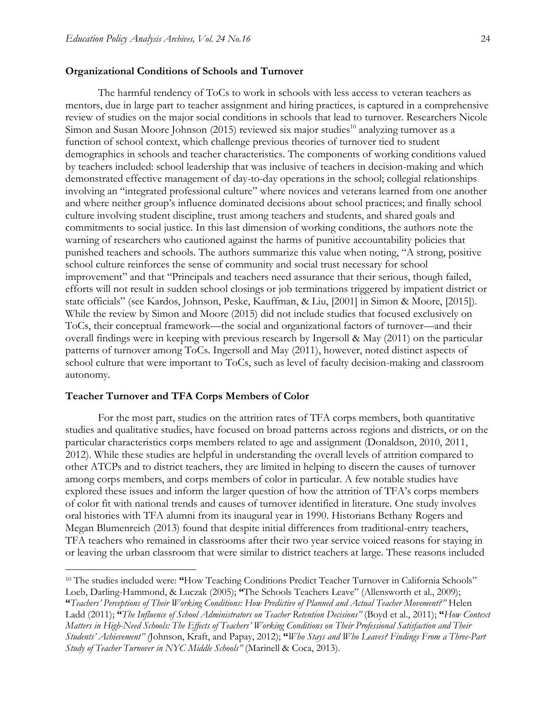#### **Organizational Conditions of Schools and Turnover**

The harmful tendency of ToCs to work in schools with less access to veteran teachers as mentors, due in large part to teacher assignment and hiring practices, is captured in a comprehensive review of studies on the major social conditions in schools that lead to turnover. Researchers Nicole Simon and Susan Moore Johnson (2015) reviewed six major studies<sup>10</sup> analyzing turnover as a function of school context, which challenge previous theories of turnover tied to student demographics in schools and teacher characteristics. The components of working conditions valued by teachers included: school leadership that was inclusive of teachers in decision-making and which demonstrated effective management of day-to-day operations in the school; collegial relationships involving an "integrated professional culture" where novices and veterans learned from one another and where neither group's influence dominated decisions about school practices; and finally school culture involving student discipline, trust among teachers and students, and shared goals and commitments to social justice. In this last dimension of working conditions, the authors note the warning of researchers who cautioned against the harms of punitive accountability policies that punished teachers and schools. The authors summarize this value when noting, "A strong, positive school culture reinforces the sense of community and social trust necessary for school improvement" and that "Principals and teachers need assurance that their serious, though failed, efforts will not result in sudden school closings or job terminations triggered by impatient district or state officials" (see Kardos, Johnson, Peske, Kauffman, & Liu, [2001] in Simon & Moore, [2015]). While the review by Simon and Moore (2015) did not include studies that focused exclusively on ToCs, their conceptual framework—the social and organizational factors of turnover—and their overall findings were in keeping with previous research by Ingersoll & May (2011) on the particular patterns of turnover among ToCs. Ingersoll and May (2011), however, noted distinct aspects of school culture that were important to ToCs, such as level of faculty decision-making and classroom autonomy.

#### **Teacher Turnover and TFA Corps Members of Color**

 $\overline{a}$ 

For the most part, studies on the attrition rates of TFA corps members, both quantitative studies and qualitative studies, have focused on broad patterns across regions and districts, or on the particular characteristics corps members related to age and assignment (Donaldson, 2010, 2011, 2012). While these studies are helpful in understanding the overall levels of attrition compared to other ATCPs and to district teachers, they are limited in helping to discern the causes of turnover among corps members, and corps members of color in particular. A few notable studies have explored these issues and inform the larger question of how the attrition of TFA's corps members of color fit with national trends and causes of turnover identified in literature. One study involves oral histories with TFA alumni from its inaugural year in 1990. Historians Bethany Rogers and Megan Blumenreich (2013) found that despite initial differences from traditional-entry teachers, TFA teachers who remained in classrooms after their two year service voiced reasons for staying in or leaving the urban classroom that were similar to district teachers at large. These reasons included

<sup>&</sup>lt;sup>10</sup> The studies included were: "How Teaching Conditions Predict Teacher Turnover in California Schools" Loeb, Darling-Hammond, & Luczak (2005); **"**The Schools Teachers Leave" (Allensworth et al., 2009); **"***Teachers' Perceptions of Their Working Conditions: How Predictive of Planned and Actual Teacher Movement?"* Helen Ladd (2011); **"***The Influence of School Administrators on Teacher Retention Decisions"* (Boyd et al., 2011); **"***How Context Matters in High-Need Schools: The Effects of Teachers' Working Conditions on Their Professional Satisfaction and Their Students' Achievement" (*Johnson, Kraft, and Papay, 2012); **"***Who Stays and Who Leaves? Findings From a Three-Part Study of Teacher Turnover in NYC Middle Schools"* (Marinell & Coca, 2013).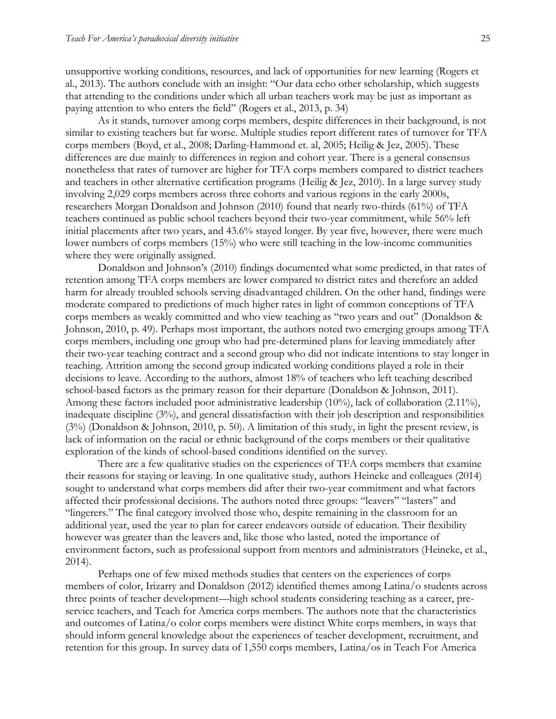unsupportive working conditions, resources, and lack of opportunities for new learning (Rogers et al., 2013). The authors conclude with an insight: "Our data echo other scholarship, which suggests that attending to the conditions under which all urban teachers work may be just as important as paying attention to who enters the field" (Rogers et al., 2013, p. 34)

As it stands, turnover among corps members, despite differences in their background, is not similar to existing teachers but far worse. Multiple studies report different rates of turnover for TFA corps members (Boyd, et al., 2008; Darling-Hammond et. al, 2005; Heilig & Jez, 2005). These differences are due mainly to differences in region and cohort year. There is a general consensus nonetheless that rates of turnover are higher for TFA corps members compared to district teachers and teachers in other alternative certification programs (Heilig & Jez, 2010). In a large survey study involving 2,029 corps members across three cohorts and various regions in the early 2000s, researchers Morgan Donaldson and Johnson (2010) found that nearly two-thirds (61%) of TFA teachers continued as public school teachers beyond their two-year commitment, while 56% left initial placements after two years, and 43.6% stayed longer. By year five, however, there were much lower numbers of corps members (15%) who were still teaching in the low-income communities where they were originally assigned.

Donaldson and Johnson's (2010) findings documented what some predicted, in that rates of retention among TFA corps members are lower compared to district rates and therefore an added harm for already troubled schools serving disadvantaged children. On the other hand, findings were moderate compared to predictions of much higher rates in light of common conceptions of TFA corps members as weakly committed and who view teaching as "two years and out" (Donaldson & Johnson, 2010, p. 49). Perhaps most important, the authors noted two emerging groups among TFA corps members, including one group who had pre-determined plans for leaving immediately after their two-year teaching contract and a second group who did not indicate intentions to stay longer in teaching. Attrition among the second group indicated working conditions played a role in their decisions to leave. According to the authors, almost 18% of teachers who left teaching described school-based factors as the primary reason for their departure (Donaldson & Johnson, 2011). Among these factors included poor administrative leadership (10%), lack of collaboration (2.11%), inadequate discipline (3%), and general dissatisfaction with their job description and responsibilities (3%) (Donaldson & Johnson, 2010, p. 50). A limitation of this study, in light the present review, is lack of information on the racial or ethnic background of the corps members or their qualitative exploration of the kinds of school-based conditions identified on the survey.

There are a few qualitative studies on the experiences of TFA corps members that examine their reasons for staying or leaving. In one qualitative study, authors Heineke and colleagues (2014) sought to understand what corps members did after their two-year commitment and what factors affected their professional decisions. The authors noted three groups: "leavers" "lasters" and "lingerers." The final category involved those who, despite remaining in the classroom for an additional year, used the year to plan for career endeavors outside of education. Their flexibility however was greater than the leavers and, like those who lasted, noted the importance of environment factors, such as professional support from mentors and administrators (Heineke, et al., 2014).

Perhaps one of few mixed methods studies that centers on the experiences of corps members of color, Irizarry and Donaldson (2012) identified themes among Latina/o students across three points of teacher development—high school students considering teaching as a career, preservice teachers, and Teach for America corps members. The authors note that the characteristics and outcomes of Latina/o color corps members were distinct White corps members, in ways that should inform general knowledge about the experiences of teacher development, recruitment, and retention for this group. In survey data of 1,550 corps members, Latina/os in Teach For America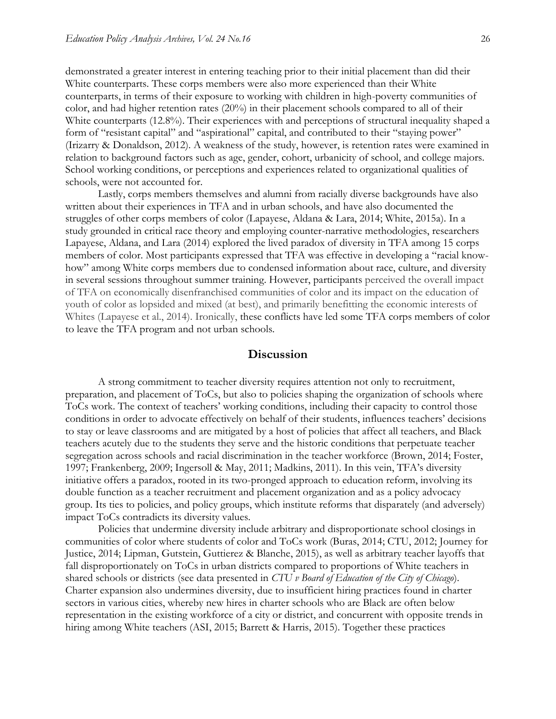demonstrated a greater interest in entering teaching prior to their initial placement than did their White counterparts. These corps members were also more experienced than their White counterparts, in terms of their exposure to working with children in high-poverty communities of color, and had higher retention rates (20%) in their placement schools compared to all of their White counterparts (12.8%). Their experiences with and perceptions of structural inequality shaped a form of "resistant capital" and "aspirational" capital, and contributed to their "staying power" (Irizarry & Donaldson, 2012). A weakness of the study, however, is retention rates were examined in relation to background factors such as age, gender, cohort, urbanicity of school, and college majors. School working conditions, or perceptions and experiences related to organizational qualities of schools, were not accounted for.

Lastly, corps members themselves and alumni from racially diverse backgrounds have also written about their experiences in TFA and in urban schools, and have also documented the struggles of other corps members of color (Lapayese, Aldana & Lara, 2014; White, 2015a). In a study grounded in critical race theory and employing counter-narrative methodologies, researchers Lapayese, Aldana, and Lara (2014) explored the lived paradox of diversity in TFA among 15 corps members of color. Most participants expressed that TFA was effective in developing a "racial knowhow" among White corps members due to condensed information about race, culture, and diversity in several sessions throughout summer training. However, participants perceived the overall impact of TFA on economically disenfranchised communities of color and its impact on the education of youth of color as lopsided and mixed (at best), and primarily benefitting the economic interests of Whites (Lapayese et al., 2014). Ironically, these conflicts have led some TFA corps members of color to leave the TFA program and not urban schools.

#### **Discussion**

A strong commitment to teacher diversity requires attention not only to recruitment, preparation, and placement of ToCs, but also to policies shaping the organization of schools where ToCs work. The context of teachers' working conditions, including their capacity to control those conditions in order to advocate effectively on behalf of their students, influences teachers' decisions to stay or leave classrooms and are mitigated by a host of policies that affect all teachers, and Black teachers acutely due to the students they serve and the historic conditions that perpetuate teacher segregation across schools and racial discrimination in the teacher workforce (Brown, 2014; Foster, 1997; Frankenberg, 2009; Ingersoll & May, 2011; Madkins, 2011). In this vein, TFA's diversity initiative offers a paradox, rooted in its two-pronged approach to education reform, involving its double function as a teacher recruitment and placement organization and as a policy advocacy group. Its ties to policies, and policy groups, which institute reforms that disparately (and adversely) impact ToCs contradicts its diversity values.

Policies that undermine diversity include arbitrary and disproportionate school closings in communities of color where students of color and ToCs work (Buras, 2014; CTU, 2012; Journey for Justice, 2014; Lipman, Gutstein, Guttierez & Blanche, 2015), as well as arbitrary teacher layoffs that fall disproportionately on ToCs in urban districts compared to proportions of White teachers in shared schools or districts (see data presented in *CTU v Board of Education of the City of Chicago*). Charter expansion also undermines diversity, due to insufficient hiring practices found in charter sectors in various cities, whereby new hires in charter schools who are Black are often below representation in the existing workforce of a city or district, and concurrent with opposite trends in hiring among White teachers (ASI, 2015; Barrett & Harris, 2015). Together these practices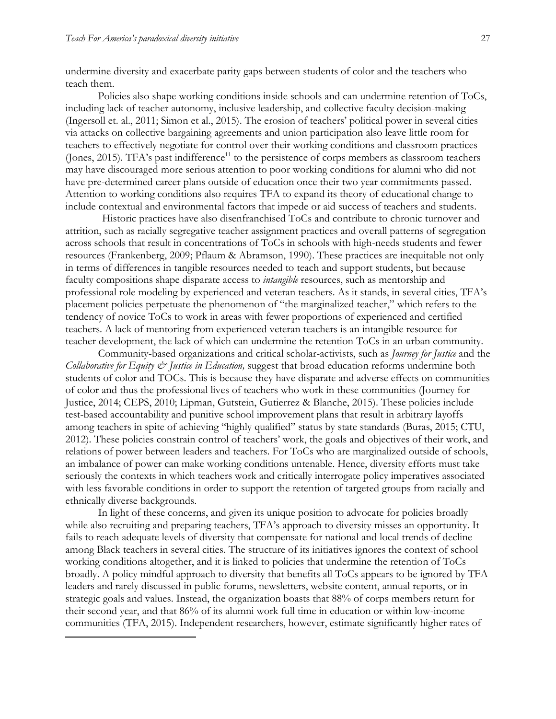$\overline{a}$ 

undermine diversity and exacerbate parity gaps between students of color and the teachers who teach them.

Policies also shape working conditions inside schools and can undermine retention of ToCs, including lack of teacher autonomy, inclusive leadership, and collective faculty decision-making (Ingersoll et. al., 2011; Simon et al., 2015). The erosion of teachers' political power in several cities via attacks on collective bargaining agreements and union participation also leave little room for teachers to effectively negotiate for control over their working conditions and classroom practices (Jones, 2015). TFA's past indifference<sup>11</sup> to the persistence of corps members as classroom teachers may have discouraged more serious attention to poor working conditions for alumni who did not have pre-determined career plans outside of education once their two year commitments passed. Attention to working conditions also requires TFA to expand its theory of educational change to include contextual and environmental factors that impede or aid success of teachers and students.

Historic practices have also disenfranchised ToCs and contribute to chronic turnover and attrition, such as racially segregative teacher assignment practices and overall patterns of segregation across schools that result in concentrations of ToCs in schools with high-needs students and fewer resources (Frankenberg, 2009; Pflaum & Abramson, 1990). These practices are inequitable not only in terms of differences in tangible resources needed to teach and support students, but because faculty compositions shape disparate access to *intangible* resources, such as mentorship and professional role modeling by experienced and veteran teachers. As it stands, in several cities, TFA's placement policies perpetuate the phenomenon of "the marginalized teacher," which refers to the tendency of novice ToCs to work in areas with fewer proportions of experienced and certified teachers. A lack of mentoring from experienced veteran teachers is an intangible resource for teacher development, the lack of which can undermine the retention ToCs in an urban community.

Community-based organizations and critical scholar-activists, such as *Journey for Justice* and the *Collaborative for Equity & Justice in Education,* suggest that broad education reforms undermine both students of color and TOCs. This is because they have disparate and adverse effects on communities of color and thus the professional lives of teachers who work in these communities (Journey for Justice, 2014; CEPS, 2010; Lipman, Gutstein, Gutierrez & Blanche, 2015). These policies include test-based accountability and punitive school improvement plans that result in arbitrary layoffs among teachers in spite of achieving "highly qualified" status by state standards (Buras, 2015; CTU, 2012). These policies constrain control of teachers' work, the goals and objectives of their work, and relations of power between leaders and teachers. For ToCs who are marginalized outside of schools, an imbalance of power can make working conditions untenable. Hence, diversity efforts must take seriously the contexts in which teachers work and critically interrogate policy imperatives associated with less favorable conditions in order to support the retention of targeted groups from racially and ethnically diverse backgrounds.

In light of these concerns, and given its unique position to advocate for policies broadly while also recruiting and preparing teachers, TFA's approach to diversity misses an opportunity. It fails to reach adequate levels of diversity that compensate for national and local trends of decline among Black teachers in several cities. The structure of its initiatives ignores the context of school working conditions altogether, and it is linked to policies that undermine the retention of ToCs broadly. A policy mindful approach to diversity that benefits all ToCs appears to be ignored by TFA leaders and rarely discussed in public forums, newsletters, website content, annual reports, or in strategic goals and values. Instead, the organization boasts that 88% of corps members return for their second year, and that 86% of its alumni work full time in education or within low-income communities (TFA, 2015). Independent researchers, however, estimate significantly higher rates of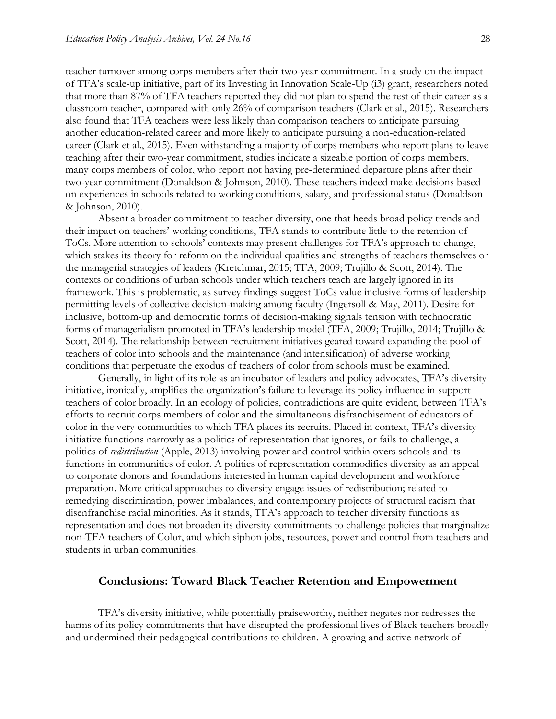teacher turnover among corps members after their two-year commitment. In a study on the impact of TFA's scale-up initiative, part of its Investing in Innovation Scale-Up (i3) grant, researchers noted that more than 87% of TFA teachers reported they did not plan to spend the rest of their career as a classroom teacher, compared with only 26% of comparison teachers (Clark et al., 2015). Researchers also found that TFA teachers were less likely than comparison teachers to anticipate pursuing another education-related career and more likely to anticipate pursuing a non-education-related career (Clark et al., 2015). Even withstanding a majority of corps members who report plans to leave teaching after their two-year commitment, studies indicate a sizeable portion of corps members, many corps members of color, who report not having pre-determined departure plans after their two-year commitment (Donaldson & Johnson, 2010). These teachers indeed make decisions based on experiences in schools related to working conditions, salary, and professional status (Donaldson & Johnson, 2010).

Absent a broader commitment to teacher diversity, one that heeds broad policy trends and their impact on teachers' working conditions, TFA stands to contribute little to the retention of ToCs. More attention to schools' contexts may present challenges for TFA's approach to change, which stakes its theory for reform on the individual qualities and strengths of teachers themselves or the managerial strategies of leaders (Kretchmar, 2015; TFA, 2009; Trujillo & Scott, 2014). The contexts or conditions of urban schools under which teachers teach are largely ignored in its framework. This is problematic, as survey findings suggest ToCs value inclusive forms of leadership permitting levels of collective decision-making among faculty (Ingersoll & May, 2011). Desire for inclusive, bottom-up and democratic forms of decision-making signals tension with technocratic forms of managerialism promoted in TFA's leadership model (TFA, 2009; Trujillo, 2014; Trujillo & Scott, 2014). The relationship between recruitment initiatives geared toward expanding the pool of teachers of color into schools and the maintenance (and intensification) of adverse working conditions that perpetuate the exodus of teachers of color from schools must be examined.

Generally, in light of its role as an incubator of leaders and policy advocates, TFA's diversity initiative, ironically, amplifies the organization's failure to leverage its policy influence in support teachers of color broadly. In an ecology of policies, contradictions are quite evident, between TFA's efforts to recruit corps members of color and the simultaneous disfranchisement of educators of color in the very communities to which TFA places its recruits. Placed in context, TFA's diversity initiative functions narrowly as a politics of representation that ignores, or fails to challenge, a politics of *redistribution* (Apple, 2013) involving power and control within overs schools and its functions in communities of color. A politics of representation commodifies diversity as an appeal to corporate donors and foundations interested in human capital development and workforce preparation. More critical approaches to diversity engage issues of redistribution; related to remedying discrimination, power imbalances, and contemporary projects of structural racism that disenfranchise racial minorities. As it stands, TFA's approach to teacher diversity functions as representation and does not broaden its diversity commitments to challenge policies that marginalize non-TFA teachers of Color, and which siphon jobs, resources, power and control from teachers and students in urban communities.

#### **Conclusions: Toward Black Teacher Retention and Empowerment**

TFA's diversity initiative, while potentially praiseworthy, neither negates nor redresses the harms of its policy commitments that have disrupted the professional lives of Black teachers broadly and undermined their pedagogical contributions to children. A growing and active network of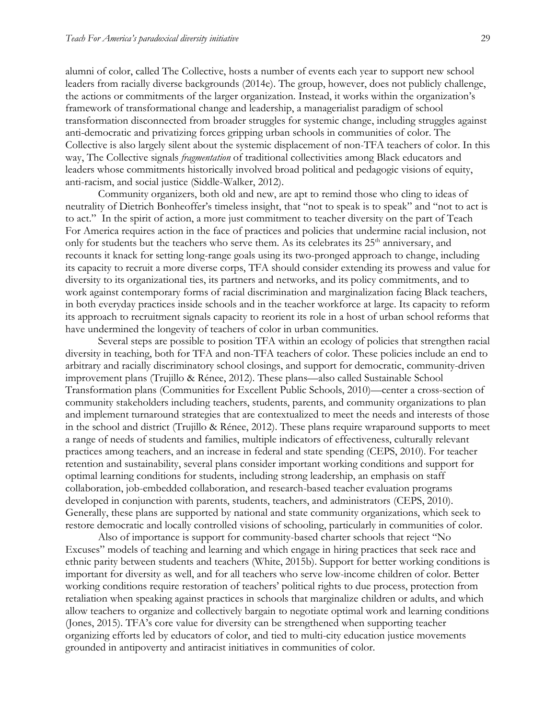alumni of color, called The Collective, hosts a number of events each year to support new school leaders from racially diverse backgrounds (2014e). The group, however, does not publicly challenge, the actions or commitments of the larger organization. Instead, it works within the organization's framework of transformational change and leadership, a managerialist paradigm of school transformation disconnected from broader struggles for systemic change, including struggles against anti-democratic and privatizing forces gripping urban schools in communities of color. The Collective is also largely silent about the systemic displacement of non-TFA teachers of color. In this way, The Collective signals *fragmentation* of traditional collectivities among Black educators and leaders whose commitments historically involved broad political and pedagogic visions of equity, anti-racism, and social justice (Siddle-Walker, 2012).

Community organizers, both old and new, are apt to remind those who cling to ideas of neutrality of Dietrich Bonheoffer's timeless insight, that "not to speak is to speak" and "not to act is to act." In the spirit of action, a more just commitment to teacher diversity on the part of Teach For America requires action in the face of practices and policies that undermine racial inclusion, not only for students but the teachers who serve them. As its celebrates its  $25<sup>th</sup>$  anniversary, and recounts it knack for setting long-range goals using its two-pronged approach to change, including its capacity to recruit a more diverse corps, TFA should consider extending its prowess and value for diversity to its organizational ties, its partners and networks, and its policy commitments, and to work against contemporary forms of racial discrimination and marginalization facing Black teachers, in both everyday practices inside schools and in the teacher workforce at large. Its capacity to reform its approach to recruitment signals capacity to reorient its role in a host of urban school reforms that have undermined the longevity of teachers of color in urban communities.

Several steps are possible to position TFA within an ecology of policies that strengthen racial diversity in teaching, both for TFA and non-TFA teachers of color. These policies include an end to arbitrary and racially discriminatory school closings, and support for democratic, community-driven improvement plans (Trujillo & Rénee, 2012). These plans—also called Sustainable School Transformation plans (Communities for Excellent Public Schools, 2010)—center a cross-section of community stakeholders including teachers, students, parents, and community organizations to plan and implement turnaround strategies that are contextualized to meet the needs and interests of those in the school and district (Trujillo & Rénee, 2012). These plans require wraparound supports to meet a range of needs of students and families, multiple indicators of effectiveness, culturally relevant practices among teachers, and an increase in federal and state spending (CEPS, 2010). For teacher retention and sustainability, several plans consider important working conditions and support for optimal learning conditions for students, including strong leadership, an emphasis on staff collaboration, job-embedded collaboration, and research-based teacher evaluation programs developed in conjunction with parents, students, teachers, and administrators (CEPS, 2010). Generally, these plans are supported by national and state community organizations, which seek to restore democratic and locally controlled visions of schooling, particularly in communities of color.

Also of importance is support for community-based charter schools that reject "No Excuses" models of teaching and learning and which engage in hiring practices that seek race and ethnic parity between students and teachers (White, 2015b). Support for better working conditions is important for diversity as well, and for all teachers who serve low-income children of color. Better working conditions require restoration of teachers' political rights to due process, protection from retaliation when speaking against practices in schools that marginalize children or adults, and which allow teachers to organize and collectively bargain to negotiate optimal work and learning conditions (Jones, 2015). TFA's core value for diversity can be strengthened when supporting teacher organizing efforts led by educators of color, and tied to multi-city education justice movements grounded in antipoverty and antiracist initiatives in communities of color.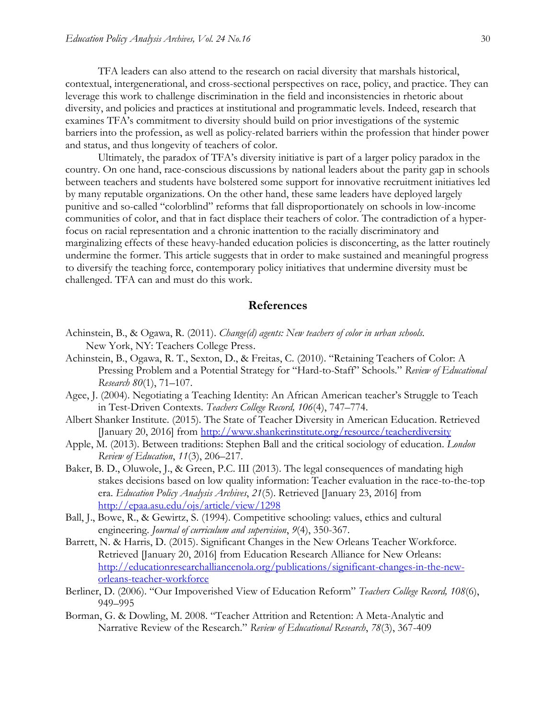TFA leaders can also attend to the research on racial diversity that marshals historical, contextual, intergenerational, and cross-sectional perspectives on race, policy, and practice. They can leverage this work to challenge discrimination in the field and inconsistencies in rhetoric about diversity, and policies and practices at institutional and programmatic levels. Indeed, research that examines TFA's commitment to diversity should build on prior investigations of the systemic barriers into the profession, as well as policy-related barriers within the profession that hinder power and status, and thus longevity of teachers of color.

Ultimately, the paradox of TFA's diversity initiative is part of a larger policy paradox in the country. On one hand, race-conscious discussions by national leaders about the parity gap in schools between teachers and students have bolstered some support for innovative recruitment initiatives led by many reputable organizations. On the other hand, these same leaders have deployed largely punitive and so-called "colorblind" reforms that fall disproportionately on schools in low-income communities of color, and that in fact displace their teachers of color. The contradiction of a hyperfocus on racial representation and a chronic inattention to the racially discriminatory and marginalizing effects of these heavy-handed education policies is disconcerting, as the latter routinely undermine the former. This article suggests that in order to make sustained and meaningful progress to diversify the teaching force, contemporary policy initiatives that undermine diversity must be challenged. TFA can and must do this work.

#### **References**

- Achinstein, B., & Ogawa, R. (2011). *Change(d) agents: New teachers of color in urban schools.*  New York, NY: Teachers College Press.
- Achinstein, B., Ogawa, R. T., Sexton, D., & Freitas, C. (2010). "Retaining Teachers of Color: A Pressing Problem and a Potential Strategy for "Hard-to-Staff" Schools." *Review of Educational Research 80*(1), 71–107.
- Agee, J. (2004). Negotiating a Teaching Identity: An African American teacher's Struggle to Teach in Test-Driven Contexts. *Teachers College Record, 106*(4), 747–774.
- Albert Shanker Institute. (2015). The State of Teacher Diversity in American Education. Retrieved [January 20, 2016] from<http://www.shankerinstitute.org/resource/teacherdiversity>
- Apple, M. (2013). Between traditions: Stephen Ball and the critical sociology of education. *London Review of Education*, *11*(3), 206–217.
- Baker, B. D., Oluwole, J., & Green, P.C. III (2013). The legal consequences of mandating high stakes decisions based on low quality information: Teacher evaluation in the race-to-the-top era. *Education Policy Analysis Archives*, *21*(5). Retrieved [January 23, 2016] from <http://epaa.asu.edu/ojs/article/view/1298>
- Ball, J., Bowe, R., & Gewirtz, S. (1994). Competitive schooling: values, ethics and cultural engineering. *Journal of curriculum and supervision*, *9*(4), 350-367.
- Barrett, N. & Harris, D. (2015). Significant Changes in the New Orleans Teacher Workforce. Retrieved [January 20, 2016] from Education Research Alliance for New Orleans: [http://educationresearchalliancenola.org/publications/significant-changes-in-the-new](http://educationresearchalliancenola.org/publications/significant-changes-in-the-new-orleans-teacher-workforce)[orleans-teacher-workforce](http://educationresearchalliancenola.org/publications/significant-changes-in-the-new-orleans-teacher-workforce)
- Berliner, D. (2006). "Our Impoverished View of Education Reform" *Teachers College Record, 108*(6), 949–995
- Borman, G. & Dowling, M. 2008. "Teacher Attrition and Retention: A Meta-Analytic and Narrative Review of the Research." *Review of Educational Research*, *78*(3), 367-409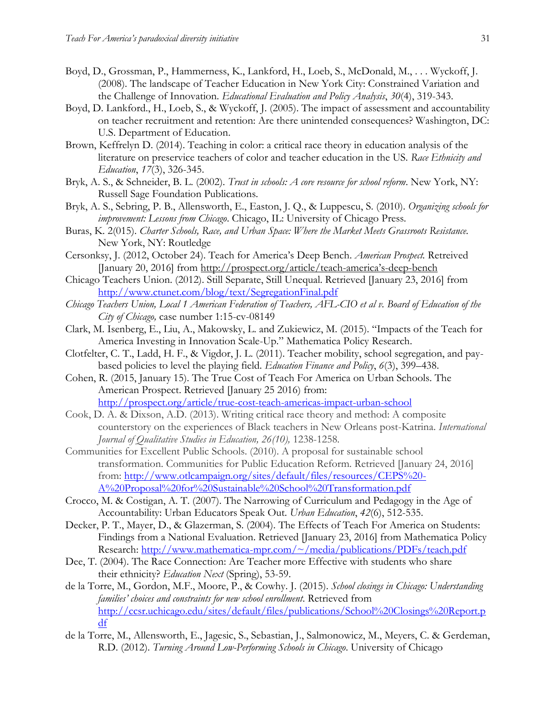- Boyd, D., Grossman, P., Hammerness, K., Lankford, H., Loeb, S., McDonald, M., . . . Wyckoff, J. (2008). The landscape of Teacher Education in New York City: Constrained Variation and the Challenge of Innovation. *Educational Evaluation and Policy Analysis*, *30*(4), 319-343.
- Boyd, D. Lankford., H., Loeb, S., & Wyckoff, J. (2005). The impact of assessment and accountability on teacher recruitment and retention: Are there unintended consequences? Washington, DC: U.S. Department of Education.
- Brown, Keffrelyn D. (2014). Teaching in color: a critical race theory in education analysis of the literature on preservice teachers of color and teacher education in the US. *Race Ethnicity and Education*, *17*(3), 326-345.
- Bryk, A. S., & Schneider, B. L. (2002). *Trust in schools: A core resource for school reform*. New York, NY: Russell Sage Foundation Publications.
- Bryk, A. S., Sebring, P. B., Allensworth, E., Easton, J. Q., & Luppescu, S. (2010). *Organizing schools for improvement: Lessons from Chicago*. Chicago, IL: University of Chicago Press.
- Buras, K. 2(015). *Charter Schools, Race, and Urban Space: Where the Market Meets Grassroots Resistance.* New York, NY: Routledge
- Cersonksy, J. (2012, October 24). Teach for America's Deep Bench. *American Prospect.* Retreived [January 20, 2016] from [http://prospect.org/article/teach-](http://prospect.org/article/teach-america)america's-deep-bench
- Chicago Teachers Union. (2012). Still Separate, Still Unequal. Retrieved [January 23, 2016] from <http://www.ctunet.com/blog/text/SegregationFinal.pdf>
- *Chicago Teachers Union, Local 1 American Federation of Teachers, AFL-CIO et al v. Board of Education of the City of Chicago,* case number [1:15-cv-08149](http://www.law360.com/cases/55fa93841a9fa635ff000002)
- Clark, M. Isenberg, E., Liu, A., Makowsky, L. and Zukiewicz, M. (2015). "Impacts of the Teach for America Investing in Innovation Scale-Up." Mathematica Policy Research.
- Clotfelter, C. T., Ladd, H. F., & Vigdor, J. L. (2011). Teacher mobility, school segregation, and paybased policies to level the playing field. *Education Finance and Policy*, *6*(3), 399–438.
- Cohen, R. (2015, January 15). The True Cost of Teach For America on Urban Schools. The American Prospect. Retrieved [January 25 2016) from: <http://prospect.org/article/true-cost-teach-americas-impact-urban-school>
- Cook, D. A. & Dixson, A.D. (2013). Writing critical race theory and method: A composite counterstory on the experiences of Black teachers in New Orleans post-Katrina. *International Journal of Qualitative Studies in Education, 26(10),* 1238-1258*.*
- Communities for Excellent Public Schools. (2010). A proposal for sustainable school transformation. Communities for Public Education Reform. Retrieved [January 24, 2016] from: [http://www.otlcampaign.org/sites/default/files/resources/CEPS%20-](http://www.otlcampaign.org/sites/default/files/resources/CEPS%20-A%20Proposal%20for%20Sustainable%20School%20Transformation.pdf) [A%20Proposal%20for%20Sustainable%20School%20Transformation.pdf](http://www.otlcampaign.org/sites/default/files/resources/CEPS%20-A%20Proposal%20for%20Sustainable%20School%20Transformation.pdf)
- Crocco, M. & Costigan, A. T. (2007). The Narrowing of Curriculum and Pedagogy in the Age of Accountability: Urban Educators Speak Out. *Urban Education*, *42*(6), 512-535.
- Decker, P. T., Mayer, D., & Glazerman, S. (2004). The Effects of Teach For America on Students: Findings from a National Evaluation. Retrieved [January 23, 2016] from Mathematica Policy Research:<http://www.mathematica-mpr.com/~/media/publications/PDFs/teach.pdf>
- Dee, T. (2004). The Race Connection: Are Teacher more Effective with students who share their ethnicity? *Education Next* (Spring), 53-59.
- de la Torre, M., Gordon, M.F., Moore, P., & Cowhy. J. (2015). *School closings in Chicago: Understanding families' choices and constraints for new school enrollment*. Retrieved from [http://ccsr.uchicago.edu/sites/default/files/publications/School%20Closings%20Report.p](http://ccsr.uchicago.edu/sites/default/files/publications/School%20Closings%20Report.pdf) [df](http://ccsr.uchicago.edu/sites/default/files/publications/School%20Closings%20Report.pdf)
- de la Torre, M., Allensworth, E., Jagesic, S., Sebastian, J., Salmonowicz, M., Meyers, C. & Gerdeman, R.D. (2012). *Turning Around Low-Performing Schools in Chicago*. University of Chicago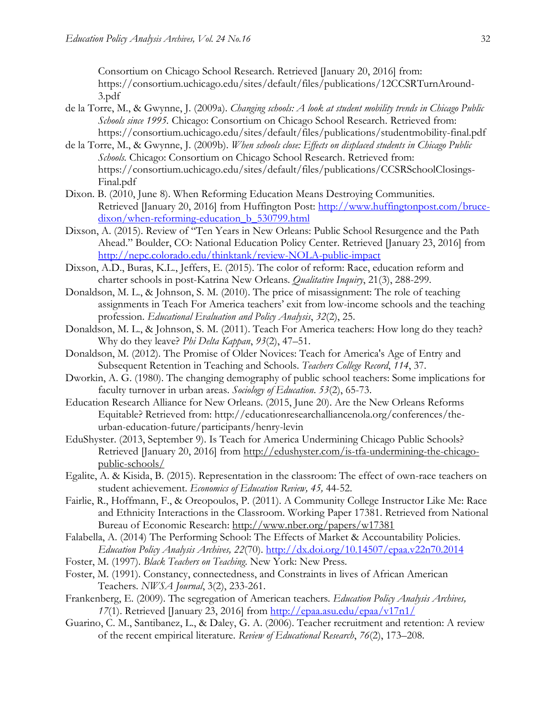Consortium on Chicago School Research. Retrieved [January 20, 2016] from: https://consortium.uchicago.edu/sites/default/files/publications/12CCSRTurnAround-3.pdf

- de la Torre, M., & Gwynne, J. (2009a). *Changing schools: A look at student mobility trends in Chicago Public Schools since 1995.* Chicago: Consortium on Chicago School Research. Retrieved from: https://consortium.uchicago.edu/sites/default/files/publications/studentmobility-final.pdf
- de la Torre, M., & Gwynne, J. (2009b). *When schools close: Effects on displaced students in Chicago Public Schools.* Chicago: Consortium on Chicago School Research. Retrieved from: https://consortium.uchicago.edu/sites/default/files/publications/CCSRSchoolClosings-Final.pdf
- Dixon. B. (2010, June 8). When Reforming Education Means Destroying Communities. Retrieved [January 20, 2016] from Huffington Post: [http://www.huffingtonpost.com/bruce](http://www.huffingtonpost.com/bruce-dixon/when-reforming-education_b_530799.html)dixon/when-reforming-education b 530799.html
- Dixson, A. (2015). Review of "Ten Years in New Orleans: Public School Resurgence and the Path Ahead." Boulder, CO: National Education Policy Center. Retrieved [January 23, 2016] from <http://nepc.colorado.edu/thinktank/review-NOLA-public-impact>
- Dixson, A.D., Buras, K.L., Jeffers, E. (2015). The color of reform: Race, education reform and charter schools in post-Katrina New Orleans. *Qualitative Inquiry*, 21(3), 288-299.
- Donaldson, M. L., & Johnson, S. M. (2010). The price of misassignment: The role of teaching assignments in Teach For America teachers' exit from low-income schools and the teaching profession. *Educational Evaluation and Policy Analysis*, *32*(2), 25.
- Donaldson, M. L., & Johnson, S. M. (2011). Teach For America teachers: How long do they teach? Why do they leave? *Phi Delta Kappan*, *93*(2), 47–51.
- Donaldson, M. (2012). The Promise of Older Novices: Teach for America's Age of Entry and Subsequent Retention in Teaching and Schools. *Teachers College Record*, *114*, 37.
- Dworkin, A. G. (1980). The changing demography of public school teachers: Some implications for faculty turnover in urban areas. *Sociology of Education*. *53*(2), 65-73.
- Education Research Alliance for New Orleans. (2015, June 20). Are the New Orleans Reforms Equitable? Retrieved from: http://educationresearchalliancenola.org/conferences/theurban-education-future/participants/henry-levin
- EduShyster. (2013, September 9). Is Teach for America Undermining Chicago Public Schools? Retrieved [January 20, 2016] from [http://edushyster.com/is-tfa-undermining-the-chicago](http://edushyster.com/is-tfa-undermining-the-chicago-public-schools/)[public-schools/](http://edushyster.com/is-tfa-undermining-the-chicago-public-schools/)
- Egalite, A. & Kisida, B. (2015). Representation in the classroom: The effect of own-race teachers on student achievement. *Economics of Education Review, 45,* 44-52.
- Fairlie, R., Hoffmann, F., & Oreopoulos, P. (2011). A Community College Instructor Like Me: Race and Ethnicity Interactions in the Classroom. Working Paper 17381. Retrieved from National Bureau of Economic Research:<http://www.nber.org/papers/w17381>
- Falabella, A. (2014) The Performing School: The Effects of Market & Accountability Policies. *Education Policy Analysis Archives, 22*(70).<http://dx.doi.org/10.14507/epaa.v22n70.2014>
- Foster, M. (1997). *Black Teachers on Teaching*. New York: New Press.
- Foster, M. (1991). Constancy, connectedness, and Constraints in lives of African American Teachers. *NWSA Journal*, 3(2), 233-261.
- Frankenberg, E. (2009). The segregation of American teachers. *Education Policy Analysis Archives, 17*(1). Retrieved [January 23, 2016] from<http://epaa.asu.edu/epaa/v17n1/>
- Guarino, C. M., Santibanez, L., & Daley, G. A. (2006). Teacher recruitment and retention: A review of the recent empirical literature. *Review of Educational Research*, *76*(2), 173–208.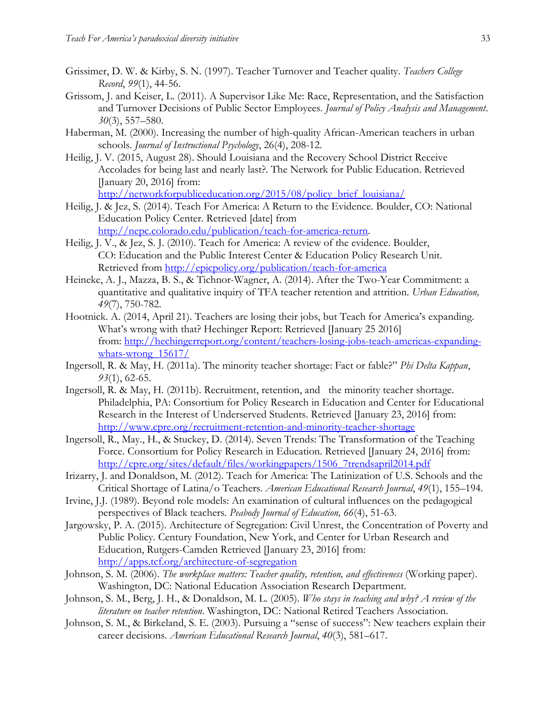- Grissimer, D. W. & Kirby, S. N. (1997). Teacher Turnover and Teacher quality. *Teachers College Record*, *99*(1), 44-56.
- Grissom, J. and Keiser, L. (2011). A Supervisor Like Me: Race, Representation, and the Satisfaction and Turnover Decisions of Public Sector Employees. *Journal of Policy Analysis and Management*. *30*[\(3\), 5](http://onlinelibrary.wiley.com/doi/10.1002/pam.v30.3/issuetoc)57–580.
- Haberman, M. (2000). Increasing the number of high-quality African-American teachers in urban schools. *Journal of Instructional Psychology*, 26(4), 208-12.
- Heilig, J. V. (2015, August 28). Should Louisiana and the Recovery School District Receive Accolades for being last and nearly last?. The Network for Public Education. Retrieved [January 20, 2016] from: [http://networkforpubliceducation.org/2015/08/policy\\_brief\\_louisiana/](http://networkforpubliceducation.org/2015/08/policy_brief_louisiana/)
- Heilig, J. & Jez, S. (2014). Teach For America: A Return to the Evidence. Boulder, CO: National Education Policy Center. Retrieved [date] from [http://nepc.colorado.edu/publication/teach-for-america-return.](http://nepc.colorado.edu/publication/teach-for-america-return)
- Heilig, J. V., & Jez, S. J. (2010). Teach for America: A review of the evidence. Boulder, CO: Education and the Public Interest Center & Education Policy Research Unit. Retrieved from<http://epicpolicy.org/publication/teach-for-america>
- Heineke, A. J., Mazza, B. S., & Tichnor-Wagner, A. (2014). After the Two-Year Commitment: a quantitative and qualitative inquiry of TFA teacher retention and attrition. *Urban Education, 49*(7), 750-782.
- Hootnick. A. (2014, April 21). Teachers are losing their jobs, but Teach for America's expanding. What's wrong with that? Hechinger Report: Retrieved [January 25 2016] from: [http://hechingerreport.org/content/teachers-losing-jobs-teach-americas-expanding](http://hechingerreport.org/content/teachers-losing-jobs-teach-americas-expanding-whats-wrong_15617/)whats-wrong 15617/
- Ingersoll, R. & May, H. (2011a). The minority teacher shortage: Fact or fable?" *Phi Delta Kappan*, *93*(1), 62-65.
- Ingersoll, R. & May, H. (2011b). Recruitment, retention, and the minority teacher shortage*.* Philadelphia, PA: Consortium for Policy Research in Education and Center for Educational Research in the Interest of Underserved Students. Retrieved [January 23, 2016] from: <http://www.cpre.org/recruitment-retention-and-minority-teacher-shortage>
- Ingersoll, R., May., H., & Stuckey, D. (2014). Seven Trends: The Transformation of the Teaching Force. Consortium for Policy Research in Education. Retrieved [January 24, 2016] from: [http://cpre.org/sites/default/files/workingpapers/1506\\_7trendsapril2014.pdf](http://cpre.org/sites/default/files/workingpapers/1506_7trendsapril2014.pdf)
- Irizarry, J. and Donaldson, M. (2012). Teach for America: The Latinization of U.S. Schools and the Critical Shortage of Latina/o Teachers. *American Educational Research Journal*, *49*(1), 155–194.
- Irvine, J.J. (1989). Beyond role models: An examination of cultural influences on the pedagogical perspectives of Black teachers. *Peabody Journal of Education, 66*(4), 51-63.
- Jargowsky, P. A. (2015). Architecture of Segregation: Civil Unrest, the Concentration of Poverty and Public Policy. Century Foundation, New York, and Center for Urban Research and Education, Rutgers-Camden Retrieved [January 23, 2016] from: <http://apps.tcf.org/architecture-of-segregation>
- Johnson, S. M. (2006). *The workplace matters: Teacher quality, retention, and effectiveness* (Working paper). Washington, DC: National Education Association Research Department.
- Johnson, S. M., Berg, J. H., & Donaldson, M. L. (2005). *Who stays in teaching and why? A review of the literature on teacher retention*. Washington, DC: National Retired Teachers Association.
- Johnson, S. M., & Birkeland, S. E. (2003). Pursuing a "sense of success": New teachers explain their career decisions. *American Educational Research Journal*, *40*(3), 581–617.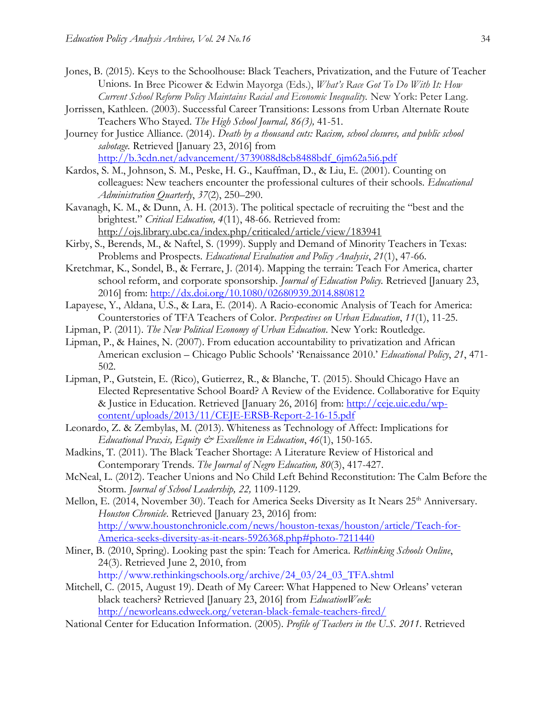- Jones, B. (2015). Keys to the Schoolhouse: Black Teachers, Privatization, and the Future of Teacher Unions. In Bree Picower & Edwin Mayorga (Eds.), *What's Race Got To Do With It: How Current School Reform Policy Maintains Racial and Economic Inequality.* New York: Peter Lang.
- Jorrissen, Kathleen. (2003). Successful Career Transitions: Lessons from Urban Alternate Route Teachers Who Stayed. *The High School Journal, 86(3),* 41-51*.*
- Journey for Justice Alliance. (2014). *Death by a thousand cuts: Racism, school closures, and public school sabotage.* Retrieved [January 23, 2016] from [http://b.3cdn.net/advancement/3739088d8cb8488bdf\\_6jm62a5i6.pdf](http://b.3cdn.net/advancement/3739088d8cb8488bdf_6jm62a5i6.pdf)
- Kardos, S. M., Johnson, S. M., Peske, H. G., Kauffman, D., & Liu, E. (2001). Counting on colleagues: New teachers encounter the professional cultures of their schools. *Educational Administration Quarterly*, *37*(2), 250–290.
- Kavanagh, K. M., & Dunn, A. H. (2013). The political spectacle of recruiting the "best and the brightest." *Critical Education, 4*(11), 48-66. Retrieved from: <http://ojs.library.ubc.ca/index.php/criticaled/article/view/183941>
- Kirby, S., Berends, M., & Naftel, S. (1999). Supply and Demand of Minority Teachers in Texas: Problems and Prospects. *Educational Evaluation and Policy Analysis*, *21*(1), 47-66.
- Kretchmar, K., Sondel, B., & Ferrare, J. (2014). Mapping the terrain: Teach For America, charter school reform, and corporate sponsorship. *Journal of Education Policy.* Retrieved [January 23, 2016] from:<http://dx.doi.org/10.1080/02680939.2014.880812>
- Lapayese, Y., Aldana, U.S., & Lara, E. (2014). A Racio-economic Analysis of Teach for America: Counterstories of TFA Teachers of Color. *Perspectives on Urban Education*, *11*(1), 11-25.
- Lipman, P. (2011). *The New Political Economy of Urban Education*. New York: Routledge.
- Lipman, P., & Haines, N. (2007). From education accountability to privatization and African American exclusion – Chicago Public Schools' 'Renaissance 2010.' *Educational Policy*, *21*, 471- 502.
- Lipman, P., Gutstein, E. (Rico), Gutierrez, R., & Blanche, T. (2015). Should Chicago Have an Elected Representative School Board? A Review of the Evidence. Collaborative for Equity & Justice in Education. Retrieved [January 26, 2016] from: [http://ceje.uic.edu/wp](http://ceje.uic.edu/wp-content/uploads/2013/11/CEJE-ERSB-Report-2-16-15.pdf)[content/uploads/2013/11/CEJE-ERSB-Report-2-16-15.pdf](http://ceje.uic.edu/wp-content/uploads/2013/11/CEJE-ERSB-Report-2-16-15.pdf)
- Leonardo, Z. & Zembylas, M. (2013). Whiteness as Technology of Affect: Implications for *Educational Praxis, Equity & Excellence in Education*, *46*(1), 150-165.
- Madkins, T. (2011). The Black Teacher Shortage: A Literature Review of Historical and Contemporary Trends. *The Journal of Negro Education, 80*(3), 417-427.
- McNeal, L. (2012). Teacher Unions and No Child Left Behind Reconstitution: The Calm Before the Storm. *Journal of School Leadership, 22,* 1109-1129.
- Mellon, E. (2014, November 30). Teach for America Seeks Diversity as It Nears 25<sup>th</sup> Anniversary. *Houston Chronicle*. Retrieved [January 23, 2016] from: [http://www.houstonchronicle.com/news/houston-texas/houston/article/Teach-for-](http://www.houstonchronicle.com/news/houston-texas/houston/article/Teach-for-America-seeks-diversity-as-it-nears-5926368.php#photo-7211440)[America-seeks-diversity-as-it-nears-5926368.php#photo-7211440](http://www.houstonchronicle.com/news/houston-texas/houston/article/Teach-for-America-seeks-diversity-as-it-nears-5926368.php#photo-7211440)
- Miner, B. (2010, Spring). Looking past the spin: Teach for America. *Rethinking Schools Online*, 24(3). Retrieved June 2, 2010, from http://www.rethinkingschools.org/archive/24\_03/24\_03\_TFA.shtml
- Mitchell, C. (2015, August 19). Death of My Career: What Happened to New Orleans' veteran black teachers? Retrieved [January 23, 2016] from *EducationWeek*: <http://neworleans.edweek.org/veteran-black-female-teachers-fired/>
- National Center for Education Information. (2005). *Profile of Teachers in the U.S. 2011*. Retrieved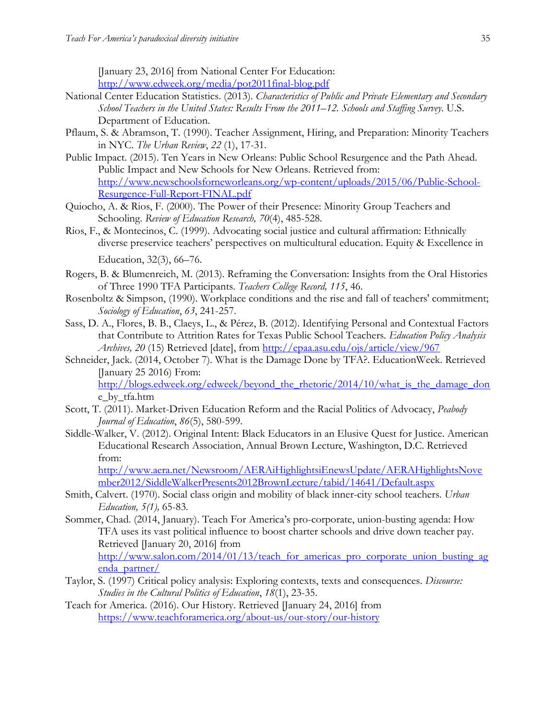[January 23, 2016] from National Center For Education: <http://www.edweek.org/media/pot2011final-blog.pdf>

- National Center Education Statistics. (2013). *Characteristics of Public and Private Elementary and Secondary School Teachers in the United States: Results From the 2011–12. Schools and Staffing Survey*. U.S. Department of Education.
- Pflaum, S. & Abramson, T. (1990). Teacher Assignment, Hiring, and Preparation: Minority Teachers in NYC. *The Urban Review*, *22* (1), 17-31.
- Public Impact. (2015). Ten Years in New Orleans: Public School Resurgence and the Path Ahead. Public Impact and New Schools for New Orleans. Retrieved from: [http://www.newschoolsforneworleans.org/wp-content/uploads/2015/06/Public-School-](http://www.newschoolsforneworleans.org/wp-content/uploads/2015/06/Public-School-Resurgence-Full-Report-FINAL.pdf)[Resurgence-Full-Report-FINAL.pdf](http://www.newschoolsforneworleans.org/wp-content/uploads/2015/06/Public-School-Resurgence-Full-Report-FINAL.pdf)
- Quiocho, A. & Rios, F. (2000). The Power of their Presence: Minority Group Teachers and Schooling. *Review of Education Research, 70*(4), 485-528.
- Rios, F., & Montecinos, C. (1999). Advocating social justice and cultural affirmation: Ethnically diverse preservice teachers' perspectives on multicultural education. Equity & Excellence in Education, 32(3), 66–76.
- Rogers, B. & Blumenreich, M. (2013). Reframing the Conversation: Insights from the Oral Histories of Three 1990 TFA Participants. *Teachers College Record, 115*, 46.
- Rosenboltz & Simpson, (1990). Workplace conditions and the rise and fall of teachers' commitment; *Sociology of Education*, *63*, 241-257.
- Sass, D. A., Flores, B. B., Claeys, L., & Pérez, B. (2012). Identifying Personal and Contextual Factors that Contribute to Attrition Rates for Texas Public School Teachers. *Education Policy Analysis Archives, 20* (15) Retrieved [date], from<http://epaa.asu.edu/ojs/article/view/967>
- Schneider, Jack. (2014, October 7). What is the Damage Done by TFA?. EducationWeek. Retrieved [January 25 2016) From: [http://blogs.edweek.org/edweek/beyond\\_the\\_rhetoric/2014/10/what\\_is\\_the\\_damage\\_don](http://blogs.edweek.org/edweek/beyond_the_rhetoric/2014/10/what_is_the_damage_don) e\_by\_tfa.htm
- Scott, T. (2011). Market-Driven Education Reform and the Racial Politics of Advocacy, *Peabody Journal of Education*, *86*(5), 580-599.
- Siddle-Walker, V. (2012). Original Intent: Black Educators in an Elusive Quest for Justice. American Educational Research Association, Annual Brown Lecture, Washington, D.C. Retrieved from:

[http://www.aera.net/Newsroom/AERAiHighlightsiEnewsUpdate/AERAHighlightsNove](http://www.aera.net/Newsroom/AERAiHighlightsiEnewsUpdate/AERAHighlightsNovember2012/SiddleWalkerPresents2012BrownLecture/tabid/14641/Default.aspx) [mber2012/SiddleWalkerPresents2012BrownLecture/tabid/14641/Default.aspx](http://www.aera.net/Newsroom/AERAiHighlightsiEnewsUpdate/AERAHighlightsNovember2012/SiddleWalkerPresents2012BrownLecture/tabid/14641/Default.aspx)

Smith, Calvert. (1970). Social class origin and mobility of black inner-city school teachers. *Urban Education, 5(1),* 65-83*.*

Sommer, Chad. (2014, January). Teach For America's pro-corporate, union-busting agenda: How TFA uses its vast political influence to boost charter schools and drive down teacher pay. Retrieved [January 20, 2016] from

[http://www.salon.com/2014/01/13/teach\\_for\\_americas\\_pro\\_corporate\\_union\\_busting\\_ag](http://www.salon.com/2014/01/13/teach_for_americas_pro_corporate_union_busting_agenda_partner/) [enda\\_partner/](http://www.salon.com/2014/01/13/teach_for_americas_pro_corporate_union_busting_agenda_partner/)

- Taylor, S. (1997) Critical policy analysis: Exploring contexts, texts and consequences. *Discourse: Studies in the Cultural Politics of Education*, *18*(1), 23-35.
- Teach for America. (2016). Our History. Retrieved [January 24, 2016] from <https://www.teachforamerica.org/about-us/our-story/our-history>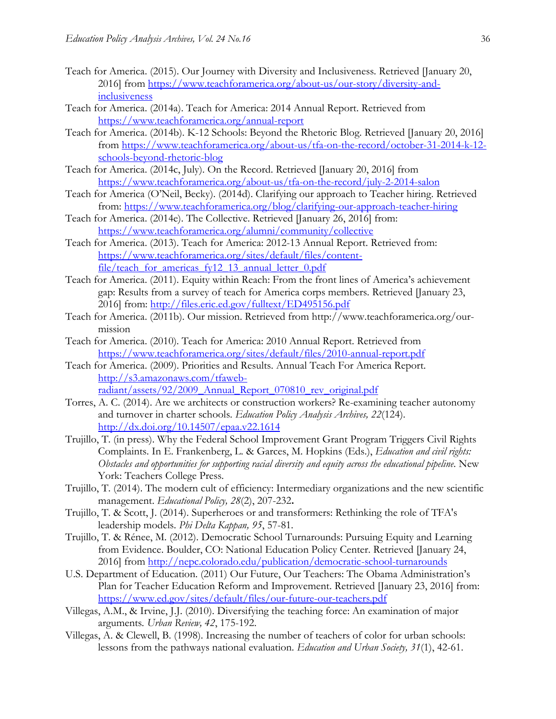- Teach for America. (2015). Our Journey with Diversity and Inclusiveness. Retrieved [January 20, 2016] from [https://www.teachforamerica.org/about-us/our-story/diversity-and](https://www.teachforamerica.org/about-us/our-story/diversity-and-inclusiveness)[inclusiveness](https://www.teachforamerica.org/about-us/our-story/diversity-and-inclusiveness)
- Teach for America. (2014a). Teach for America: 2014 Annual Report. Retrieved from <https://www.teachforamerica.org/annual-report>
- Teach for America. (2014b). K-12 Schools: Beyond the Rhetoric Blog. Retrieved [January 20, 2016] from [https://www.teachforamerica.org/about-us/tfa-on-the-record/october-31-2014-k-12](https://www.teachforamerica.org/about-us/tfa-on-the-record/october-31-2014-k-12-schools-beyond-rhetoric-blog) [schools-beyond-rhetoric-blog](https://www.teachforamerica.org/about-us/tfa-on-the-record/october-31-2014-k-12-schools-beyond-rhetoric-blog)
- Teach for America. (2014c, July). On the Record. Retrieved [January 20, 2016] from <https://www.teachforamerica.org/about-us/tfa-on-the-record/july-2-2014-salon>
- Teach for America (O'Neil, Becky). (2014d). Clarifying our approach to Teacher hiring. Retrieved from:<https://www.teachforamerica.org/blog/clarifying-our-approach-teacher-hiring>
- Teach for America. (2014e). The Collective. Retrieved [January 26, 2016] from: <https://www.teachforamerica.org/alumni/community/collective>
- Teach for America. (2013). Teach for America: 2012-13 Annual Report. Retrieved from: [https://www.teachforamerica.org/sites/default/files/content](https://www.teachforamerica.org/sites/default/files/content-file/teach_for_americas_fy12_13_annual_letter_0.pdf)[file/teach\\_for\\_americas\\_fy12\\_13\\_annual\\_letter\\_0.pdf](https://www.teachforamerica.org/sites/default/files/content-file/teach_for_americas_fy12_13_annual_letter_0.pdf)
- Teach for America. (2011). Equity within Reach: From the front lines of America's achievement gap: Results from a survey of teach for America corps members. Retrieved [January 23, 2016] from:<http://files.eric.ed.gov/fulltext/ED495156.pdf>
- Teach for America. (2011b). Our mission. Retrieved from [http://www.teachforamerica.org/our](http://www.teachforamerica.org/our-mission)[mission](http://www.teachforamerica.org/our-mission)
- Teach for America. (2010). Teach for America: 2010 Annual Report. Retrieved from <https://www.teachforamerica.org/sites/default/files/2010-annual-report.pdf>
- Teach for America. (2009). Priorities and Results. Annual Teach For America Report. [http://s3.amazonaws.com/tfaweb](http://s3.amazonaws.com/tfaweb-radiant/assets/92/2009_Annual_Report_070810_rev_original.pdf)[radiant/assets/92/2009\\_Annual\\_Report\\_070810\\_rev\\_original.pdf](http://s3.amazonaws.com/tfaweb-radiant/assets/92/2009_Annual_Report_070810_rev_original.pdf)
- Torres, A. C. (2014). Are we architects or construction workers? Re-examining teacher autonomy and turnover in charter schools. *Education Policy Analysis Archives, 22*(124). <http://dx.doi.org/10.14507/epaa.v22.1614>
- Trujillo, T. (in press). Why the Federal School Improvement Grant Program Triggers Civil Rights Complaints. In E. Frankenberg, L. & Garces, M. Hopkins (Eds.), *Education and civil rights: Obstacles and opportunities for supporting racial diversity and equity across the educational pipeline.* New York: Teachers College Press.
- Trujillo, T. (2014). The modern cult of efficiency: Intermediary organizations and the new scientific management. *Educational Policy, 28*(2), 207-232**.**
- Trujillo, T. & Scott, J. (2014). Superheroes or and transformers: Rethinking the role of TFA's leadership models. *Phi Delta Kappan, 95*, 57-81.
- Trujillo, T. & Rénee, M. (2012). Democratic School Turnarounds: Pursuing Equity and Learning from Evidence. Boulder, CO: National Education Policy Center. Retrieved [January 24, 2016] from<http://nepc.colorado.edu/publication/democratic-school-turnarounds>
- U.S. Department of Education. (2011) Our Future, Our Teachers: The Obama Administration's Plan for Teacher Education Reform and Improvement. Retrieved [January 23, 2016] from: <https://www.ed.gov/sites/default/files/our-future-our-teachers.pdf>
- Villegas, A.M., & Irvine, J.J. (2010). Diversifying the teaching force: An examination of major arguments*. Urban Review, 42*, 175-192.
- Villegas, A. & Clewell, B. (1998). Increasing the number of teachers of color for urban schools: lessons from the pathways national evaluation. *Education and Urban Society, 31*(1), 42-61.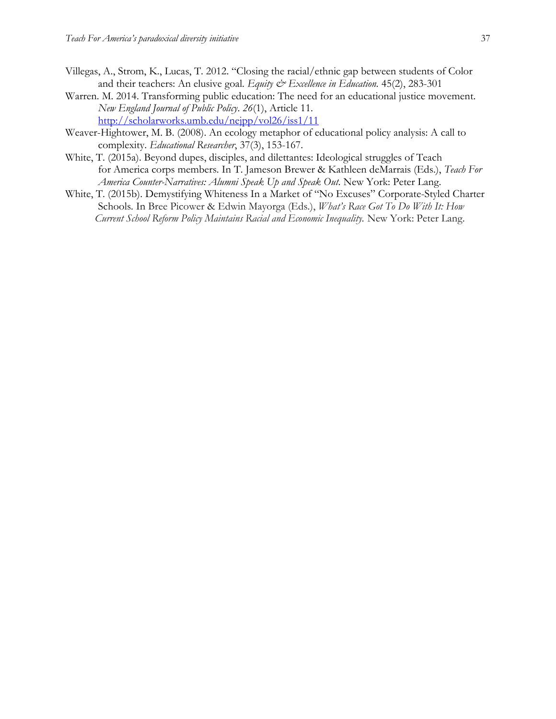- Villegas, A., Strom, K., Lucas, T. 2012. "Closing the racial/ethnic gap between students of Color and their teachers: An elusive goal. *Equity & Excellence in Education*. **45(2)**, **283-301**
- Warren. M. 2014. Transforming public education: The need for an educational justice movement. *New England Journal of Public Policy*. *26*(1), Article 11. <http://scholarworks.umb.edu/nejpp/vol26/iss1/11>
- Weaver-Hightower, M. B. (2008). An ecology metaphor of educational policy analysis: A call to complexity. *Educational Researcher*, 37(3), 153-167.
- White, T. (2015a). Beyond dupes, disciples, and dilettantes: Ideological struggles of Teach for America corps members. In T. Jameson Brewer & Kathleen deMarrais (Eds.), *Teach For America Counter-Narratives: Alumni Speak Up and Speak Out.* New York: Peter Lang.
- White, T. (2015b). Demystifying Whiteness In a Market of "No Excuses" Corporate-Styled Charter Schools. In Bree Picower & Edwin Mayorga (Eds.), *What's Race Got To Do With It: How Current School Reform Policy Maintains Racial and Economic Inequality.* New York: Peter Lang.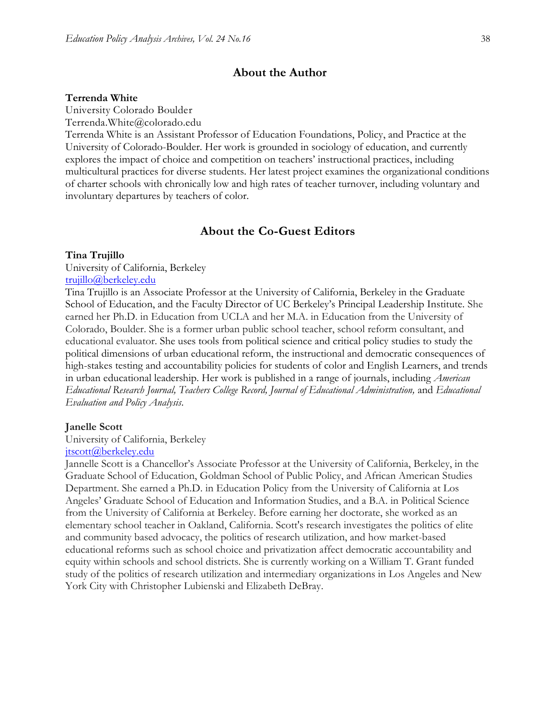#### **About the Author**

#### **Terrenda White**

University Colorado Boulder

Terrenda.White@colorado.edu

Terrenda White is an Assistant Professor of Education Foundations, Policy, and Practice at the University of Colorado-Boulder. Her work is grounded in sociology of education, and currently explores the impact of choice and competition on teachers' instructional practices, including multicultural practices for diverse students. Her latest project examines the organizational conditions of charter schools with chronically low and high rates of teacher turnover, including voluntary and involuntary departures by teachers of color.

## **About the Co-Guest Editors**

#### **Tina Trujillo**

University of California, Berkeley [trujillo@berkeley.edu](mailto:trujillo@berkeley.edu)

Tina Trujillo is an Associate Professor at the University of California, Berkeley in the Graduate School of Education, and the Faculty Director of UC Berkeley's Principal Leadership Institute. She earned her Ph.D. in Education from UCLA and her M.A. in Education from the University of Colorado, Boulder. She is a former urban public school teacher, school reform consultant, and educational evaluator. She uses tools from political science and critical policy studies to study the political dimensions of urban educational reform, the instructional and democratic consequences of high-stakes testing and accountability policies for students of color and English Learners, and trends in urban educational leadership. Her work is published in a range of journals, including *American Educational Research Journal, Teachers College Record, Journal of Educational Administration,* and *Educational Evaluation and Policy Analysis*.

#### **Janelle Scott**

University of California, Berkeley

#### [jtscott@berkeley.edu](mailto:jtscott@berkeley.edu)

Jannelle Scott is a Chancellor's Associate Professor at the University of California, Berkeley, in the Graduate School of Education, Goldman School of Public Policy, and African American Studies Department. She earned a Ph.D. in Education Policy from the University of California at Los Angeles' Graduate School of Education and Information Studies, and a B.A. in Political Science from the University of California at Berkeley. Before earning her doctorate, she worked as an elementary school teacher in Oakland, California. Scott's research investigates the politics of elite and community based advocacy, the politics of research utilization, and how market-based educational reforms such as school choice and privatization affect democratic accountability and equity within schools and school districts. She is currently working on a William T. Grant funded study of the politics of research utilization and intermediary organizations in Los Angeles and New York City with Christopher Lubienski and Elizabeth DeBray.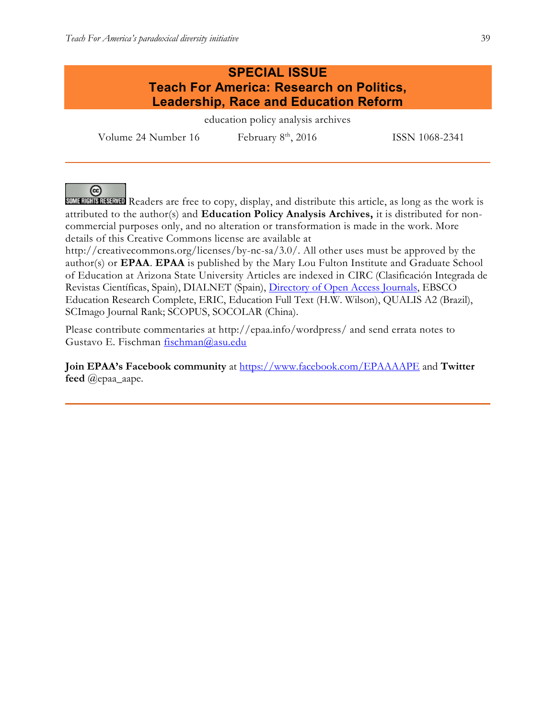## **SPECIAL ISSUE Teach For America: Research on Politics, Leadership, Race and Education Reform**

education policy analysis archives

Volume 24 Number 16 February  $8<sup>th</sup>$ , 2016 ISSN 1068-2341

@

**SOME RIGHTS RESERVED** Readers are free to copy, display, and distribute this article, as long as the work is attributed to the author(s) and **Education Policy Analysis Archives,** it is distributed for noncommercial purposes only, and no alteration or transformation is made in the work. More details of this Creative Commons license are available at

http://creativecommons.org/licenses/by-nc-sa/3.0/. All other uses must be approved by the author(s) or **EPAA**. **EPAA** is published by the Mary Lou Fulton Institute and Graduate School of Education at Arizona State University Articles are indexed in CIRC (Clasificación Integrada de Revistas Científicas, Spain), DIALNET (Spain), [Directory of Open Access Journals,](http://www.doaj.org/) EBSCO Education Research Complete, ERIC, Education Full Text (H.W. Wilson), QUALIS A2 (Brazil), SCImago Journal Rank; SCOPUS, SOCOLAR (China).

Please contribute commentaries at http://epaa.info/wordpress/ and send errata notes to Gustavo E. Fischman [fischman@asu.edu](mailto:fischman@asu.edu)

**Join EPAA's Facebook community** at<https://www.facebook.com/EPAAAAPE> and **Twitter feed** @epaa\_aape.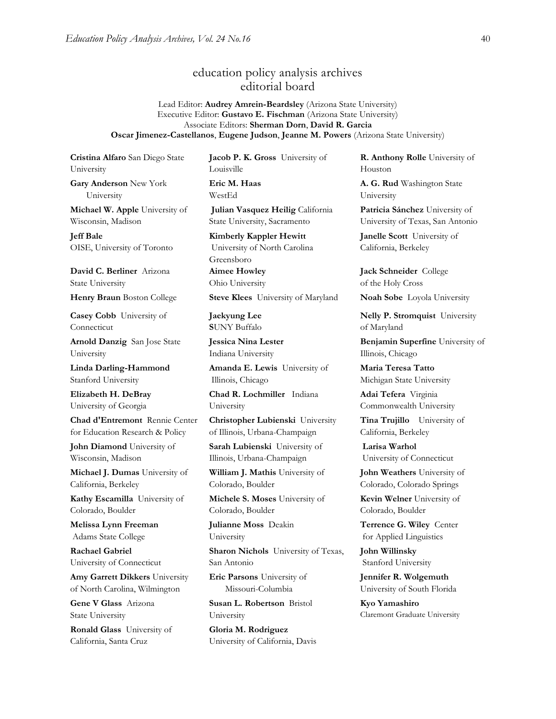## education policy analysis archives editorial board

Lead Editor: **Audrey Amrein-Beardsley** (Arizona State University) Executive Editor: **Gustavo E. Fischman** (Arizona State University) Associate Editors: **Sherman Dorn**, **David R. Garcia Oscar Jimenez-Castellanos**, **Eugene Judson**, **Jeanne M. Powers** (Arizona State University)

**Cristina Alfaro** San Diego State University

**Gary Anderson** New York University

**Michael W. Apple** University of Wisconsin, Madison

**Jeff Bale** OISE, University of Toronto

**David C. Berliner** Arizona State University

**Casey Cobb** University of Connecticut

**Arnold Danzig** San Jose State University

**Linda Darling-Hammond**  Stanford University

**Elizabeth H. DeBray** University of Georgia

**Chad d'Entremont** Rennie Center for Education Research & Policy

**John Diamond** University of Wisconsin, Madison

**Michael J. Dumas** University of California, Berkeley

**Kathy Escamilla** University of Colorado, Boulder

**Melissa Lynn Freeman** Adams State College

**Rachael Gabriel** University of Connecticut

**Amy Garrett Dikkers** University of North Carolina, Wilmington

**Gene V Glass** Arizona State University

**Ronald Glass** University of California, Santa Cruz

**Jacob P. K. Gross** University of Louisville **Eric M. Haas** 

WestEd

**Julian Vasquez Heilig** California State University, Sacramento

**Kimberly Kappler Hewitt** University of North Carolina Greensboro **Aimee Howley** Ohio University

**Henry Braun** Boston College **Steve Klees** University of Maryland **Noah Sobe** Loyola University

**Jaekyung Lee S**UNY Buffalo

**Jessica Nina Lester** Indiana University

**Amanda E. Lewis** University of Illinois, Chicago

**Chad R. Lochmiller** Indiana University

**Christopher Lubienski** University of Illinois, Urbana-Champaign

**Sarah Lubienski** University of Illinois, Urbana-Champaign

**William J. Mathis** University of Colorado, Boulder

**Michele S. Moses** University of Colorado, Boulder

**Julianne Moss** Deakin University

**Sharon Nichols** University of Texas, San Antonio

**Eric Parsons** University of Missouri-Columbia

**Susan L. Robertson** Bristol University

**Gloria M. Rodriguez** University of California, Davis **R. Anthony Rolle** University of Houston

**A. G. Rud** Washington State University

**Patricia Sánchez** University of University of Texas, San Antonio

**Janelle Scott** University of California, Berkeley

**Jack Schneider** College of the Holy Cross

**Nelly P. Stromquist** University of Maryland

**Benjamin Superfine** University of Illinois, Chicago

**Maria Teresa Tatto**  Michigan State University

**Adai Tefera** Virginia Commonwealth University

**Tina Trujillo** University of California, Berkeley

**Larisa Warhol** University of Connecticut

**John Weathers** University of Colorado, Colorado Springs

**Kevin Welner** University of Colorado, Boulder

**Terrence G. Wiley** Center for Applied Linguistics

**John Willinsky**  Stanford University

**Jennifer R. Wolgemuth** University of South Florida

**Kyo Yamashiro**  Claremont Graduate University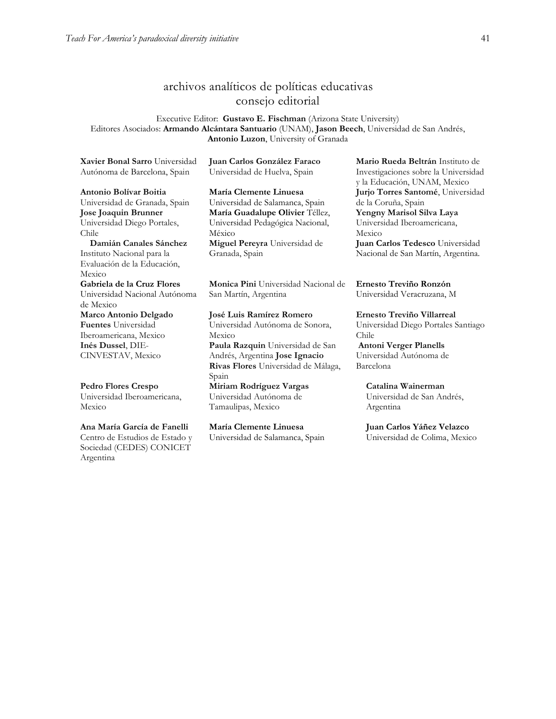## archivos analíticos de políticas educativas consejo editorial

Executive Editor: **Gustavo E. Fischman** (Arizona State University) Editores Asociados: **Armando Alcántara Santuario** (UNAM), **Jason Beech**, Universidad de San Andrés, **Antonio Luzon**, University of Granada

**[Xavier Bonal](javascript:openRTWindow() Sarro** Universidad Autónoma de Barcelona, Spain

**[Antonio Bolívar](javascript:openRTWindow() Boitia** Universidad de Granada, Spain **[Jose Joaquin Brunner](javascript:openRTWindow()** Universidad Diego Portales, Chile

 **[Damián Canales Sánchez](javascript:openRTWindow()** Instituto Nacional para la Evaluación de la Educación, Mexico **Gabriela de la Cruz Flores** Universidad Nacional Autónoma

de Mexico **[Marco Antonio Delgado](javascript:openRTWindow()  [Fuentes](javascript:openRTWindow()** Universidad Iberoamericana, Mexico **[Inés Dussel](javascript:openRTWindow()**, DIE-CINVESTAV, Mexico

**[Pedro Flores Crespo](javascript:openRTWindow()** Universidad Iberoamericana, Mexico

**[Ana María García de Fanelli](javascript:openRTWindow()** Centro de Estudios de Estado y Sociedad (CEDES) CONICET Argentina

**Juan Carlos González Faraco**  Universidad de Huelva, Spain

**María Clemente Linuesa**  Universidad de Salamanca, Spain **María Guadalupe Olivier** Téllez, Universidad Pedagógica Nacional, México **[Miguel Pereyra](javascript:openRTWindow()** Universidad de Granada, Spain

**[Monica Pini](javascript:openRTWindow()** Universidad Nacional de San Martín, Argentina

**[José Luis Ramírez](javascript:openRTWindow() Romero** Universidad Autónoma de Sonora, Mexico **[Paula Razquin](javascript:openRTWindow()** Universidad de San Andrés, Argentina **[Jose Ignacio](javascript:openRTWindow()  [Rivas Flores](javascript:openRTWindow()** Universidad de Málaga, Spain **[Miriam Rodríguez Vargas](javascript:openRTWindow()** Universidad Autónoma de Tamaulipas, Mexico

**María Clemente Linuesa**  Universidad de Salamanca, Spain **[Mario Rueda Beltrán](javascript:openRTWindow()** Instituto de Investigaciones sobre la Universidad y la Educación, UNAM, Mexico **[Jurjo Torres Santomé](javascript:openRTWindow()**, Universidad de la Coruña, Spain **[Yengny Marisol Silva Laya](javascript:openRTWindow()** Universidad Iberoamericana, Mexico

**Juan Carlos Tedesco** Universidad Nacional de San Martín, Argentina.

**Ernesto Treviño Ronzón** Universidad Veracruzana, M

**[Ernesto Treviño](javascript:openRTWindow() Villarreal** Universidad Diego Portales Santiago Chile **[Antoni Verger Planells](javascript:openRTWindow()** Universidad Autónoma de Barcelona

**[Catalina Wainerman](javascript:openRTWindow()** Universidad de San Andrés, Argentina

**Juan Carlos Yáñez Velazco** Universidad de Colima, Mexico